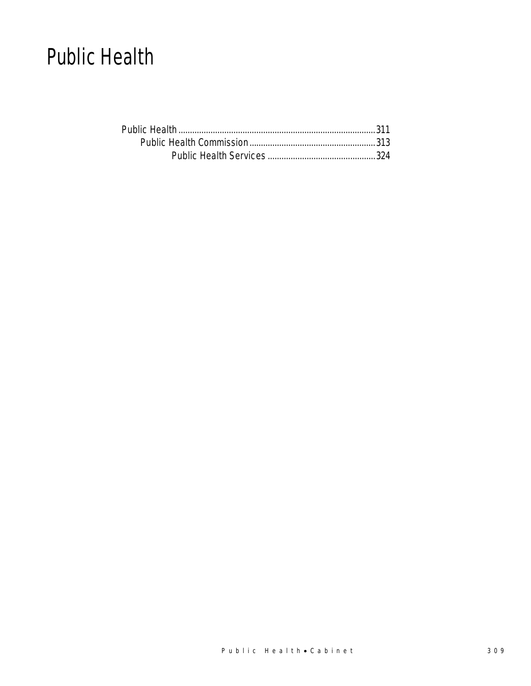# Public Health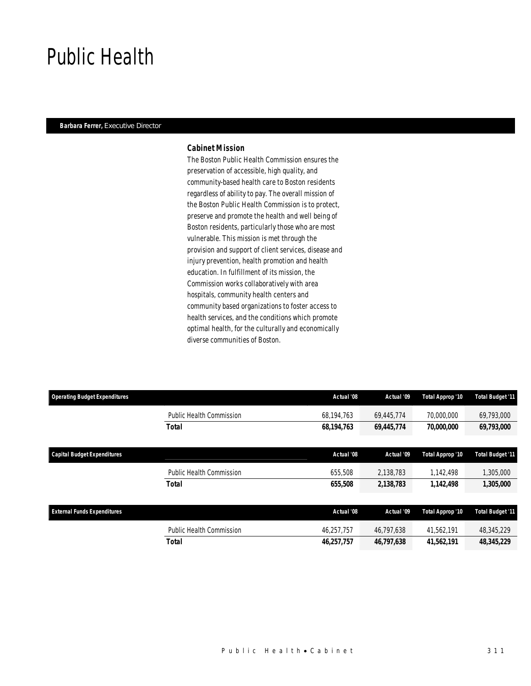# Public Health

### *Barbara Ferrer, Executive Director*

# *Cabinet Mission*

The Boston Public Health Commission ensures the preservation of accessible, high quality, and community-based health care to Boston residents regardless of ability to pay. The overall mission of the Boston Public Health Commission is to protect, preserve and promote the health and well being of Boston residents, particularly those who are most vulnerable. This mission is met through the provision and support of client services, disease and injury prevention, health promotion and health education. In fulfillment of its mission, the Commission works collaboratively with area hospitals, community health centers and community based organizations to foster access to health services, and the conditions which promote optimal health, for the culturally and economically diverse communities of Boston.

| <b>Operating Budget Expenditures</b> |                                 | Actual '08 | Actual '09 | Total Approp '10 | <b>Total Budget '11</b> |
|--------------------------------------|---------------------------------|------------|------------|------------------|-------------------------|
|                                      | <b>Public Health Commission</b> | 68.194.763 | 69.445.774 | 70,000,000       | 69,793,000              |
|                                      | <b>Total</b>                    | 68,194,763 | 69,445,774 | 70,000,000       | 69,793,000              |
|                                      |                                 |            |            |                  |                         |
| <b>Capital Budget Expenditures</b>   |                                 | Actual '08 | Actual '09 | Total Approp '10 | <b>Total Budget '11</b> |
|                                      | <b>Public Health Commission</b> | 655,508    | 2,138,783  | 1,142,498        | 1,305,000               |
|                                      | Total                           | 655,508    | 2,138,783  | 1,142,498        | 1,305,000               |
|                                      |                                 |            |            |                  |                         |
| <b>External Funds Expenditures</b>   |                                 | Actual '08 | Actual '09 | Total Approp '10 | <b>Total Budget '11</b> |
|                                      | <b>Public Health Commission</b> | 46,257,757 | 46,797,638 | 41,562,191       | 48,345,229              |
|                                      | <b>Total</b>                    | 46,257,757 | 46,797,638 | 41,562,191       | 48,345,229              |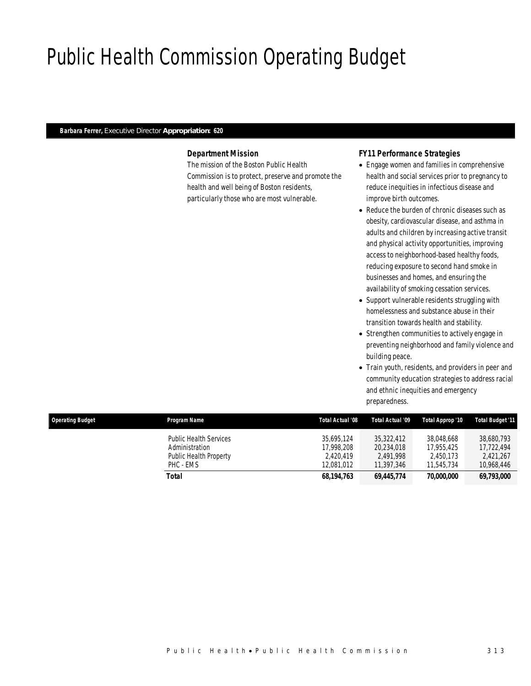# Public Health Commission Operating Budget

# *Barbara Ferrer, Executive Director Appropriation: 620*

# *Department Mission*

The mission of the Boston Public Health Commission is to protect, preserve and promote the health and well being of Boston residents, particularly those who are most vulnerable.

# *FY11 Performance Strategies*

- Engage women and families in comprehensive health and social services prior to pregnancy to reduce inequities in infectious disease and improve birth outcomes.
- Reduce the burden of chronic diseases such as obesity, cardiovascular disease, and asthma in adults and children by increasing active transit and physical activity opportunities, improving access to neighborhood-based healthy foods, reducing exposure to second hand smoke in businesses and homes, and ensuring the availability of smoking cessation services.
- Support vulnerable residents struggling with homelessness and substance abuse in their transition towards health and stability.
- Strengthen communities to actively engage in preventing neighborhood and family violence and building peace.
- Train youth, residents, and providers in peer and community education strategies to address racial and ethnic inequities and emergency preparedness.

| <b>Operating Budget</b> | Program Name                                                                           | Total Actual '08                                    | Total Actual '09                                    | Total Approp '10                                    | <b>Total Budget '11</b>                             |
|-------------------------|----------------------------------------------------------------------------------------|-----------------------------------------------------|-----------------------------------------------------|-----------------------------------------------------|-----------------------------------------------------|
|                         | <b>Public Health Services</b><br>Administration<br>Public Health Property<br>PHC - EMS | 35.695.124<br>17.998.208<br>2.420.419<br>12.081.012 | 35,322,412<br>20,234,018<br>2.491.998<br>11.397.346 | 38.048.668<br>17.955.425<br>2.450.173<br>11.545.734 | 38,680,793<br>17.722.494<br>2.421.267<br>10.968.446 |
|                         | Total                                                                                  | 68,194,763                                          | 69,445,774                                          | 70,000,000                                          | 69,793,000                                          |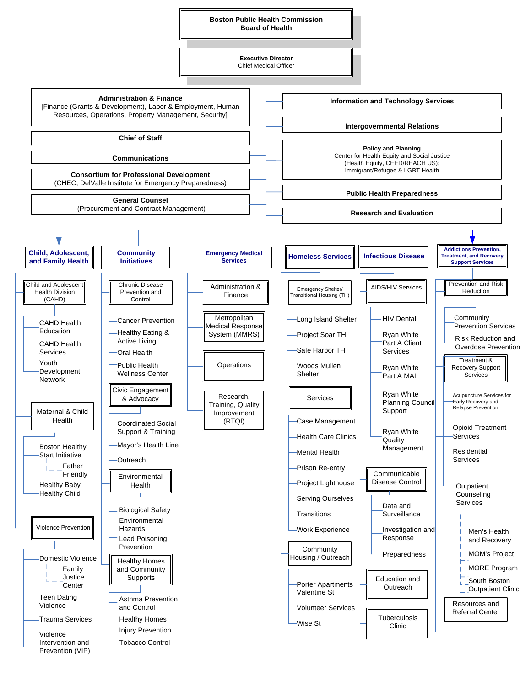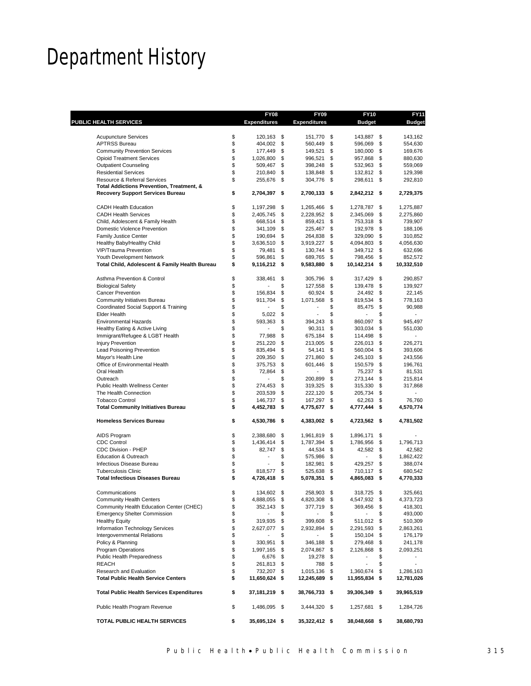# Department History

|                                                                             |          | <b>FY08</b>               |          | <b>FY09</b>             | <b>FY10</b>                 |          | <b>FY11</b>                         |
|-----------------------------------------------------------------------------|----------|---------------------------|----------|-------------------------|-----------------------------|----------|-------------------------------------|
| <b>PUBLIC HEALTH SERVICES</b>                                               |          | <b>Expenditures</b>       |          | <b>Expenditures</b>     | <b>Budget</b>               |          | <b>Budget</b>                       |
| <b>Acupuncture Services</b>                                                 | \$       | 120,163 \$                |          | 151,770 \$              | 143,887 \$                  |          | 143,162                             |
| <b>APTRSS Bureau</b>                                                        | \$       | 404,002                   | \$       | 560,449 \$              | 596,069                     | \$       | 554,630                             |
| <b>Community Prevention Services</b>                                        | \$       | 177,449                   | \$       | 149,521 \$              | 180,000                     | \$       | 169,676                             |
| <b>Opioid Treatment Services</b>                                            | \$       | 1,026,800                 | \$       | 996,521 \$              | 957,868                     | \$       | 880.630                             |
| <b>Outpatient Counseling</b>                                                | \$       | 509,467                   | \$       | 398,248 \$              | 532,963                     | \$       | 559,069                             |
| <b>Residential Services</b>                                                 | \$       | 210,840                   | \$       | 138,848 \$              | 132,812 \$                  |          | 129,398                             |
| Resource & Referral Services                                                | \$       | 255,676                   | \$       | 304,776 \$              | 298,611                     | \$       | 292,810                             |
| Total Addictions Prevention, Treatment, &                                   |          |                           |          |                         |                             |          |                                     |
| <b>Recovery Support Services Bureau</b>                                     | \$       | 2,704,397                 | \$       | 2,700,133 \$            | 2,842,212 \$                |          | 2,729,375                           |
| <b>CADH Health Education</b>                                                | \$       | 1,197,298                 | \$       | 1,265,466 \$            | 1,278,787                   | \$       | 1,275,887                           |
| <b>CADH Health Services</b>                                                 | \$       | 2,405,745                 | \$       | 2,228,952 \$            | 2,345,069                   | \$       | 2,275,860                           |
| Child, Adolescent & Family Health                                           | \$       | 668,514                   | \$       | 859,421                 | \$<br>753,318               | \$       | 739,907                             |
| Domestic Violence Prevention                                                | \$       | 341,109                   | \$       | 225,467                 | \$<br>192,978               | \$       | 188,106                             |
| <b>Family Justice Center</b>                                                | \$       | 190,694                   | \$       | 264,838 \$              | 329,090                     | \$       | 310,852                             |
| Healthy Baby/Healthy Child                                                  | \$       | 3,636,510                 | \$       | 3,919,227 \$            | 4,094,803                   | \$       | 4,056,630                           |
| VIP/Trauma Prevention                                                       | \$       | 79,481                    | \$       | 130,744                 | \$<br>349,712               | \$       | 632,696                             |
| Youth Development Network<br>Total Child, Adolescent & Family Health Bureau | \$<br>\$ | 596,861<br>$9,116,212$ \$ | \$       | 689,765<br>9,583,880 \$ | \$<br>798,456<br>10,142,214 | \$<br>\$ | 852,572<br>10,332,510               |
|                                                                             |          |                           |          |                         |                             |          |                                     |
| Asthma Prevention & Control                                                 | \$       | 338,461                   | \$       | 305,796 \$              | 317,429                     | \$       | 290,857                             |
| <b>Biological Safety</b>                                                    | \$       |                           | \$       | 127,558 \$              | 139,478                     | \$       | 139,927                             |
| Cancer Prevention                                                           | \$       | 156.834                   | \$       | 60,924                  | \$<br>24,492                | \$       | 22,145                              |
| Community Initiatives Bureau                                                | \$       | 911,704                   | \$       | 1,071,568               | \$<br>819,534               | \$       | 778,163                             |
| Coordinated Social Support & Training                                       | \$       |                           | \$       |                         | \$<br>85,475                | \$       | 90,988                              |
| <b>Elder Health</b>                                                         | \$       | 5,022                     | \$       |                         | \$                          | \$       |                                     |
| <b>Environmental Hazards</b>                                                | \$       | 593,363                   | \$       | 394,243                 | \$<br>860,097               | \$       | 945,497                             |
| Healthy Eating & Active Living                                              | \$<br>\$ |                           | \$       | 90,311                  | \$<br>303,034               | \$       | 551,030<br>$\overline{\phantom{0}}$ |
| Immigrant/Refugee & LGBT Health<br><b>Injury Prevention</b>                 | \$       | 77,988                    | \$<br>\$ | 675,184                 | \$<br>114,498               | \$<br>\$ |                                     |
|                                                                             | \$       | 251,220<br>835,494        | \$       | 213,005 \$              | \$<br>226,013               | \$       | 226,271                             |
| Lead Poisoning Prevention                                                   | \$       | 209,350                   | \$       | 54,141<br>271,860       | \$<br>560,004<br>245,103    | \$       | 393,606                             |
| Mayor's Health Line<br>Office of Environmental Health                       | \$       | 375,753                   | \$       | 601,446                 | \$<br>150,579               | \$       | 243,556<br>196,761                  |
| Oral Health                                                                 | \$       | 72,864                    | \$       |                         | \$<br>75,237                | \$       | 81,531                              |
| Outreach                                                                    | \$       | $\overline{a}$            | \$       | 200,899 \$              | 273,144                     | \$       | 215,814                             |
| Public Health Wellness Center                                               | \$       | 274,453                   | \$       | 319,325 \$              | 315,330                     | \$       | 317,868                             |
| The Health Connection                                                       | \$       | 203,539                   | \$       | 222,120                 | \$<br>205,734               | \$       |                                     |
| <b>Tobacco Control</b>                                                      | \$       | 146,737                   | \$       | 167,297                 | \$<br>62,263                | \$       | 76,760                              |
| <b>Total Community Initiatives Bureau</b>                                   | \$       | 4,452,783                 | \$       | 4,775,677 \$            | 4,777,444                   | \$       | 4,570,774                           |
| <b>Homeless Services Bureau</b>                                             | \$       | 4,530,786 \$              |          | 4,383,002 \$            | 4,723,562 \$                |          | 4,781,502                           |
| AIDS Program                                                                | \$       | 2,388,680                 | \$       | 1,961,819 \$            | 1,896,171                   | \$       |                                     |
| <b>CDC Control</b>                                                          | \$       | 1,436,414                 | \$       | 1,787,394 \$            | 1,786,956                   | \$       | 1,796,713                           |
| CDC Division - PHEP                                                         | \$       | 82,747                    | \$       | 44,534 \$               | 42,582                      | \$       | 42,582                              |
| Education & Outreach                                                        | \$       | ÷                         | \$       | 575,986 \$              | $\overline{a}$              | \$       | 1,862,422                           |
| Infectious Disease Bureau                                                   | \$       |                           | \$       | 182,981                 | \$<br>429,257               | \$       | 388,074                             |
| <b>Tuberculosis Clinic</b>                                                  | \$       | 818,577                   | \$       | 525,638                 | \$<br>710,117               | \$       | 680,542                             |
| <b>Total Infectious Diseases Bureau</b>                                     | \$       | 4,726,418                 | \$       | 5,078,351 \$            | 4,865,083                   | \$       | 4,770,333                           |
| Communications                                                              | \$       | 134,602                   | \$       | 258,903                 | \$<br>318,725 \$            |          | 325.661                             |
| <b>Community Health Centers</b>                                             | \$       | 4,888,055                 | \$       | 4,820,308 \$            | 4,547,932 \$                |          | 4,373,723                           |
| Community Health Education Center (CHEC)                                    | \$       | 352,143                   | \$       | 377,719 \$              | 369,456                     | \$       | 418,301                             |
| <b>Emergency Shelter Commission</b>                                         | \$       |                           |          |                         | \$                          | \$       | 493,000                             |
| <b>Healthy Equity</b>                                                       | \$       | 319,935                   | \$       | 399,608 \$              | 511,012 \$                  |          | 510,309                             |
| Information Technology Services                                             | \$       | 2,627,077                 | \$       | 2,932,894 \$            | 2,291,593                   | \$       | 2,863,261                           |
| Intergovernmental Relations                                                 | \$       |                           |          |                         | \$<br>150,104               | \$       | 176,179                             |
| Policy & Planning                                                           | \$       | 330,951                   | \$       | 346,188 \$              | 279,468                     | \$       | 241,178                             |
| <b>Program Operations</b>                                                   | \$       | 1,997,165 \$              |          | 2,074,867 \$            | 2,126,868                   | \$       | 2,093,251                           |
| Public Health Preparedness                                                  | \$       | 6,676 \$                  |          | 19,278 \$               | $\overline{\phantom{a}}$    | \$       |                                     |
| <b>REACH</b>                                                                | \$       | 261,813 \$                |          | 788 \$                  | $\overline{\phantom{a}}$    | \$       | $\overline{\phantom{0}}$            |
| Research and Evaluation                                                     | \$       | 732,207 \$                |          | 1,015,136 \$            | 1,360,674                   | \$       | 1,286,163                           |
| <b>Total Public Health Service Centers</b>                                  | \$       | 11,650,624 \$             |          | 12,245,689 \$           | 11,955,834                  | \$       | 12,781,026                          |
| <b>Total Public Health Services Expenditures</b>                            | \$       | 37,181,219 \$             |          | 38,766,733 \$           | 39,306,349 \$               |          | 39,965,519                          |
| Public Health Program Revenue                                               | \$       | 1,486,095 \$              |          | 3,444,320 \$            | 1,257,681 \$                |          | 1,284,726                           |
| TOTAL PUBLIC HEALTH SERVICES                                                | \$       | 35,695,124 \$             |          | 35,322,412 \$           | 38,048,668 \$               |          | 38,680,793                          |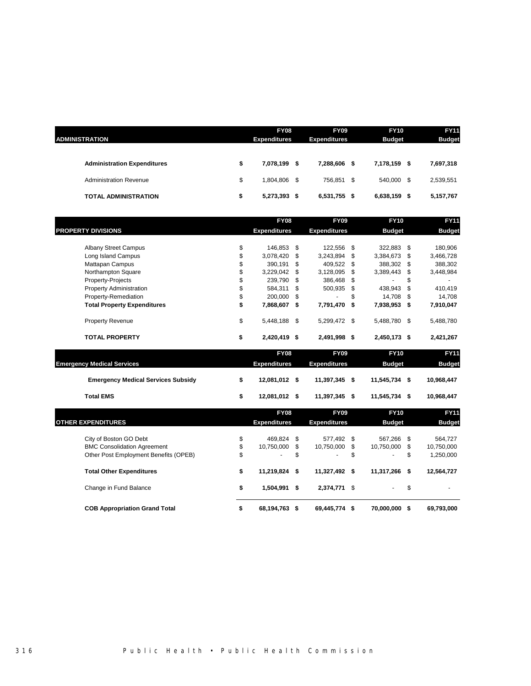| <b>ADMINISTRATION</b>              | <b>FY08</b><br><b>Expenditures</b> |      | <b>FY09</b><br><b>Expenditures</b> |   | <b>FY10</b><br><b>Budget</b> |    | <b>FY11</b><br><b>Budget</b> |
|------------------------------------|------------------------------------|------|------------------------------------|---|------------------------------|----|------------------------------|
| <b>Administration Expenditures</b> | \$<br>7,078,199                    | - \$ | 7,288,606                          | S | 7,178,159                    | S  | 7,697,318                    |
| <b>Administration Revenue</b>      | \$<br>1,804,806 \$                 |      | 756,851 \$                         |   | 540.000                      | S. | 2,539,551                    |
| <b>TOTAL ADMINISTRATION</b>        | \$<br>5,273,393 \$                 |      | 6,531,755 \$                       |   | 6,638,159                    | S  | 5,157,767                    |

|                                           | <b>FY08</b>         |     | <b>FY09</b>         | <b>FY10</b>      | <b>FY11</b>      |
|-------------------------------------------|---------------------|-----|---------------------|------------------|------------------|
| <b>PROPERTY DIVISIONS</b>                 | <b>Expenditures</b> |     | <b>Expenditures</b> | <b>Budget</b>    | <b>Budget</b>    |
| <b>Albany Street Campus</b>               | \$<br>146,853 \$    |     | 122,556             | \$<br>322,883    | \$<br>180,906    |
| Long Island Campus                        | \$<br>3,078,420     | \$  | 3,243,894           | \$<br>3,384,673  | \$<br>3,466,728  |
| Mattapan Campus                           | \$<br>390,191       | \$  | 409,522             | \$<br>388,302    | \$<br>388,302    |
| Northampton Square                        | \$<br>3,229,042     | \$  | 3,128,095           | \$<br>3,389,443  | \$<br>3,448,984  |
| Property-Projects                         | \$<br>239,790       | \$. | 386,468             | \$               | \$               |
| <b>Property Administration</b>            | \$<br>584,311       | \$  | 500,935             | \$<br>438,943    | \$<br>410,419    |
| Property-Remediation                      | \$<br>200,000       | \$  |                     | \$<br>14,708     | \$<br>14,708     |
| <b>Total Property Expenditures</b>        | \$<br>7,868,607     | \$  | 7,791,470           | \$<br>7,938,953  | \$<br>7,910,047  |
| <b>Property Revenue</b>                   | \$<br>5,448,188     | \$  | 5,299,472 \$        | 5,488,780        | \$<br>5,488,780  |
| <b>TOTAL PROPERTY</b>                     | \$<br>2,420,419 \$  |     | 2,491,998 \$        | 2,450,173 \$     | 2,421,267        |
|                                           | <b>FY08</b>         |     | <b>FY09</b>         | <b>FY10</b>      | <b>FY11</b>      |
| <b>Emergency Medical Services</b>         | <b>Expenditures</b> |     | <b>Expenditures</b> | <b>Budget</b>    | <b>Budget</b>    |
| <b>Emergency Medical Services Subsidy</b> | \$<br>12,081,012 \$ |     | 11,397,345 \$       | 11,545,734 \$    | 10,968,447       |
| <b>Total EMS</b>                          | \$<br>12,081,012 \$ |     | 11,397,345 \$       | 11,545,734 \$    | 10,968,447       |
|                                           | <b>FY08</b>         |     | <b>FY09</b>         | <b>FY10</b>      | <b>FY11</b>      |
| <b>OTHER EXPENDITURES</b>                 | <b>Expenditures</b> |     | <b>Expenditures</b> | <b>Budget</b>    | <b>Budget</b>    |
| City of Boston GO Debt                    | \$<br>469,824       | \$  | 577,492             | \$<br>567,266    | \$<br>564,727    |
| <b>BMC Consolidation Agreement</b>        | \$<br>10.750.000    | \$  | 10,750,000          | \$<br>10,750,000 | \$<br>10,750,000 |
| Other Post Employment Benefits (OPEB)     | \$                  | \$  |                     | \$<br>ä,         | \$<br>1,250,000  |
| <b>Total Other Expenditures</b>           | \$<br>11,219,824 \$ |     | 11,327,492          | \$<br>11,317,266 | \$<br>12,564,727 |
| Change in Fund Balance                    | \$<br>1,504,991 \$  |     | 2,374,771 \$        |                  | \$               |
| <b>COB Appropriation Grand Total</b>      | \$<br>68.194.763    | -\$ | 69,445,774 \$       | 70.000.000       | \$<br>69,793,000 |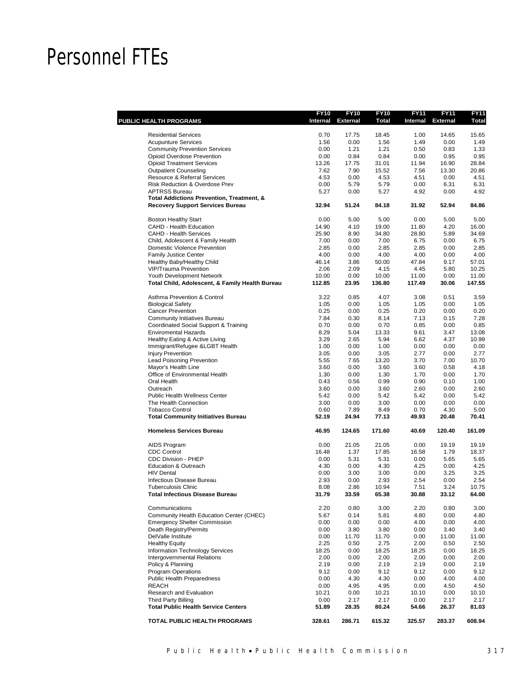# Personnel FTEs

|                                                              | <b>FY10</b>   | <b>FY10</b><br>Internal External | <b>FY10</b><br><b>Total</b> | <b>FY11</b><br>Internal | <b>FY11</b><br><b>External</b> | <b>FY11</b><br><b>Total</b> |
|--------------------------------------------------------------|---------------|----------------------------------|-----------------------------|-------------------------|--------------------------------|-----------------------------|
| PUBLIC HEALTH PROGRAMS                                       |               |                                  |                             |                         |                                |                             |
| <b>Residential Services</b>                                  | 0.70          | 17.75                            | 18.45                       | 1.00                    | 14.65                          | 15.65                       |
| <b>Acupunture Services</b>                                   | 1.56          | 0.00                             | 1.56                        | 1.49                    | 0.00                           | 1.49                        |
| <b>Community Prevention Services</b>                         | 0.00          | 1.21                             | 1.21                        | 0.50                    | 0.83                           | 1.33                        |
| Opioid Overdose Prevention                                   | 0.00          | 0.84                             | 0.84                        | 0.00                    | 0.95                           | 0.95                        |
| <b>Opioid Treatment Services</b>                             | 13.26         | 17.75                            | 31.01                       | 11.94                   | 16.90                          | 28.84                       |
| <b>Outpatient Counseling</b><br>Resource & Referral Services | 7.62<br>4.53  | 7.90<br>0.00                     | 15.52<br>4.53               | 7.56<br>4.51            | 13.30<br>0.00                  | 20.86<br>4.51               |
| <b>Risk Reduction &amp; Overdose Prev</b>                    | 0.00          | 5.79                             | 5.79                        | 0.00                    | 6.31                           | 6.31                        |
| <b>APTRSS Bureau</b>                                         | 5.27          | 0.00                             | 5.27                        | 4.92                    | 0.00                           | 4.92                        |
| Total Addictions Prevention, Treatment, &                    |               |                                  |                             |                         |                                |                             |
| <b>Recovery Support Services Bureau</b>                      | 32.94         | 51.24                            | 84.18                       | 31.92                   | 52.94                          | 84.86                       |
| <b>Boston Healthy Start</b>                                  | 0.00          | 5.00                             | 5.00                        | 0.00                    | 5.00                           | 5.00                        |
| CAHD - Health Education                                      | 14.90         | 4.10                             | 19.00                       | 11.80                   | 4.20                           | 16.00                       |
| <b>CAHD - Health Services</b>                                | 25.90         | 8.90                             | 34.80                       | 28.80                   | 5.89                           | 34.69                       |
| Child, Adolescent & Family Health                            | 7.00          | 0.00                             | 7.00                        | 6.75                    | 0.00                           | 6.75                        |
| Domestic Violence Prevention                                 | 2.85          | 0.00                             | 2.85                        | 2.85                    | 0.00                           | 2.85                        |
| <b>Family Justice Center</b>                                 | 4.00          | 0.00                             | 4.00                        | 4.00                    | 0.00                           | 4.00                        |
| Healthy Baby/Healthy Child<br><b>VIP/Trauma Prevention</b>   | 46.14<br>2.06 | 3.86<br>2.09                     | 50.00<br>4.15               | 47.84<br>4.45           | 9.17<br>5.80                   | 57.01<br>10.25              |
| Youth Development Network                                    | 10.00         | 0.00                             | 10.00                       | 11.00                   | 0.00                           | 11.00                       |
| Total Child, Adolescent, & Family Health Bureau              | 112.85        | 23.95                            | 136.80                      | 117.49                  | 30.06                          | 147.55                      |
| <b>Asthma Prevention &amp; Control</b>                       | 3.22          | 0.85                             | 4.07                        | 3.08                    | 0.51                           | 3.59                        |
| <b>Biological Safety</b>                                     | 1.05          | 0.00                             | 1.05                        | 1.05                    | 0.00                           | 1.05                        |
| <b>Cancer Prevention</b>                                     | 0.25          | 0.00                             | 0.25                        | 0.20                    | 0.00                           | 0.20                        |
| <b>Community Initiatives Bureau</b>                          | 7.84          | 0.30                             | 8.14                        | 7.13                    | 0.15                           | 7.28                        |
| Coordinated Social Support & Training                        | 0.70          | 0.00                             | 0.70                        | 0.85                    | 0.00                           | 0.85                        |
| <b>Enviromental Hazards</b>                                  | 8.29          | 5.04                             | 13.33                       | 9.61                    | 3.47                           | 13.08                       |
| Healthy Eating & Active Living                               | 3.29          | 2.65                             | 5.94                        | 6.62                    | 4.37                           | 10.99                       |
| Immigrant/Refugee &LGBT Health                               | 1.00          | 0.00                             | 1.00                        | 0.00                    | 0.00                           | 0.00                        |
| <b>Injury Prevention</b>                                     | 3.05          | 0.00                             | 3.05                        | 2.77<br>3.70            | 0.00                           | 2.77                        |
| <b>Lead Poisoning Prevention</b><br>Mayor's Health Line      | 5.55<br>3.60  | 7.65<br>0.00                     | 13.20<br>3.60               | 3.60                    | 7.00<br>0.58                   | 10.70<br>4.18               |
| Office of Environmental Health                               | 1.30          | 0.00                             | 1.30                        | 1.70                    | 0.00                           | 1.70                        |
| Oral Health                                                  | 0.43          | 0.56                             | 0.99                        | 0.90                    | 0.10                           | 1.00                        |
| Outreach                                                     | 3.60          | 0.00                             | 3.60                        | 2.60                    | 0.00                           | 2.60                        |
| <b>Public Health Wellness Center</b>                         | 5.42          | 0.00                             | 5.42                        | 5.42                    | 0.00                           | 5.42                        |
| The Health Connection                                        | 3.00          | 0.00                             | 3.00                        | 0.00                    | 0.00                           | 0.00                        |
| <b>Tobacco Control</b>                                       | 0.60          | 7.89                             | 8.49                        | 0.70                    | 4.30                           | 5.00                        |
| <b>Total Community Initiatives Bureau</b>                    | 52.19         | 24.94                            | 77.13                       | 49.93                   | 20.48                          | 70.41                       |
| <b>Homeless Services Bureau</b>                              | 46.95         | 124.65                           | 171.60                      | 40.69                   | 120.40                         | 161.09                      |
| AIDS Program                                                 | 0.00          | 21.05                            | 21.05                       | 0.00                    | 19.19                          | 19.19                       |
| <b>CDC Control</b>                                           | 16.48         | 1.37                             | 17.85                       | 16.58                   | 1.79                           | 18.37                       |
| <b>CDC Division - PHEP</b>                                   | 0.00          | 5.31                             | 5.31                        | 0.00                    | 5.65                           | 5.65                        |
| Education & Outreach                                         | 4.30          | 0.00                             | 4.30                        | 4.25                    | 0.00                           | 4.25                        |
| <b>HIV Dental</b>                                            | 0.00          | 3.00                             | 3.00                        | 0.00                    | 3.25                           | 3.25<br>2.54                |
| Infectious Disease Bureau<br><b>Tuberculosis Clinic</b>      | 2.93<br>8.08  | 0.00<br>2.86                     | 2.93<br>10.94               | 2.54<br>7.51            | 0.00<br>3.24                   | 10.75                       |
| <b>Total Infectious Disease Bureau</b>                       | 31.79         | 33.59                            | 65.38                       | 30.88                   | 33.12                          | 64.00                       |
| Communications                                               | 2.20          | 0.80                             | 3.00                        | 2.20                    | 0.80                           | 3.00                        |
| Community Health Education Center (CHEC)                     | 5.67          | 0.14                             | 5.81                        | 4.80                    | 0.00                           | 4.80                        |
| <b>Emergency Shelter Commission</b>                          | 0.00          | 0.00                             | 0.00                        | 4.00                    | 0.00                           | 4.00                        |
| Death Registry/Permits                                       | 0.00          | 3.80                             | 3.80                        | 0.00                    | 3.40                           | 3.40                        |
| DelValle Institute                                           | 0.00          | 11.70                            | 11.70                       | 0.00                    | 11.00                          | 11.00                       |
| <b>Healthy Equity</b>                                        | 2.25          | 0.50                             | 2.75                        | 2.00                    | 0.50                           | 2.50                        |
| Information Technology Services                              | 18.25         | 0.00                             | 18.25                       | 18.25                   | 0.00                           | 18.25                       |
| Intergovernmental Relations                                  | 2.00          | 0.00                             | 2.00                        | 2.00                    | 0.00                           | 2.00                        |
| Policy & Planning                                            | 2.19          | 0.00                             | 2.19                        | 2.19                    | 0.00                           | 2.19                        |
| <b>Program Operations</b>                                    | 9.12          | 0.00                             | 9.12                        | 9.12                    | 0.00                           | 9.12                        |
| Public Health Preparedness                                   | 0.00          | 4.30                             | 4.30                        | 0.00                    | 4.00                           | 4.00                        |
| <b>REACH</b><br>Research and Evaluation                      | 0.00          | 4.95                             | 4.95                        | 0.00                    | 4.50                           | 4.50                        |
| <b>Third Party Billing</b>                                   | 10.21<br>0.00 | 0.00<br>2.17                     | 10.21<br>2.17               | 10.10<br>0.00           | 0.00<br>2.17                   | 10.10<br>2.17               |
| <b>Total Public Health Service Centers</b>                   | 51.89         | 28.35                            | 80.24                       | 54.66                   | 26.37                          | 81.03                       |
| TOTAL PUBLIC HEALTH PROGRAMS                                 | 328.61        | 286.71                           | 615.32                      | 325.57                  | 283.37                         | 608.94                      |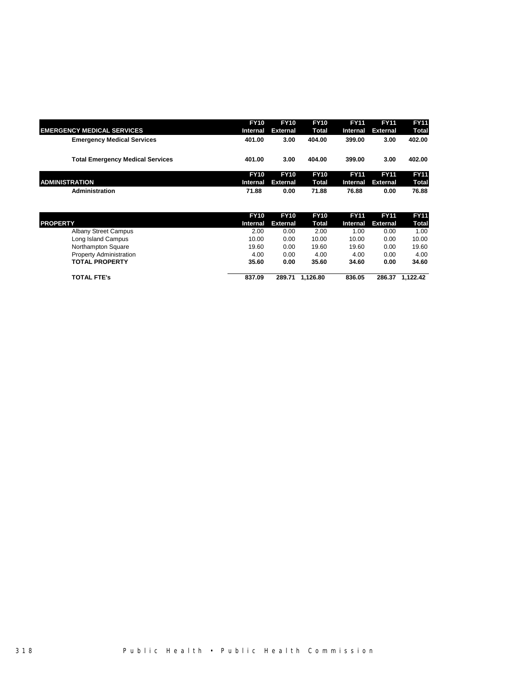|                                         | <b>FY10</b>     | <b>FY10</b>     | <b>FY10</b>  | <b>FY11</b> | <b>FY11</b> | <b>FY11</b>  |
|-----------------------------------------|-----------------|-----------------|--------------|-------------|-------------|--------------|
| <b>EMERGENCY MEDICAL SERVICES</b>       | Internal        | <b>External</b> | <b>Total</b> | Internal    | External    | Total        |
| <b>Emergency Medical Services</b>       | 401.00          | 3.00            | 404.00       | 399.00      | 3.00        | 402.00       |
| <b>Total Emergency Medical Services</b> | 401.00          | 3.00            | 404.00       | 399.00      | 3.00        | 402.00       |
|                                         | <b>FY10</b>     | <b>FY10</b>     | <b>FY10</b>  | <b>FY11</b> | <b>FY11</b> | <b>FY11</b>  |
| <b>ADMINISTRATION</b>                   | <b>Internal</b> | <b>External</b> | Total        | Internal    | External    | <b>Total</b> |
| Administration                          | 71.88           | 0.00            | 71.88        | 76.88       | 0.00        | 76.88        |

|                                | <b>FY10</b> | <b>FY10</b>     | <b>FY10</b> | <b>FY11</b> | <b>FY11</b>       | <b>FY11</b> |
|--------------------------------|-------------|-----------------|-------------|-------------|-------------------|-------------|
| <b>PROPERTY</b>                | Internal    | <b>External</b> | Total       |             | Internal External | Total       |
| <b>Albany Street Campus</b>    | 2.00        | 0.00            | 2.00        | 1.00        | 0.00              | 1.00        |
| Long Island Campus             | 10.00       | 0.00            | 10.00       | 10.00       | 0.00              | 10.00       |
| Northampton Square             | 19.60       | 0.00            | 19.60       | 19.60       | 0.00              | 19.60       |
| <b>Property Administration</b> | 4.00        | 0.00            | 4.00        | 4.00        | 0.00              | 4.00        |
| <b>TOTAL PROPERTY</b>          | 35.60       | 0.00            | 35.60       | 34.60       | 0.00              | 34.60       |
| <b>TOTAL FTE's</b>             | 837.09      | 289.71          | 1.126.80    | 836.05      | 286.37            | 1.122.42    |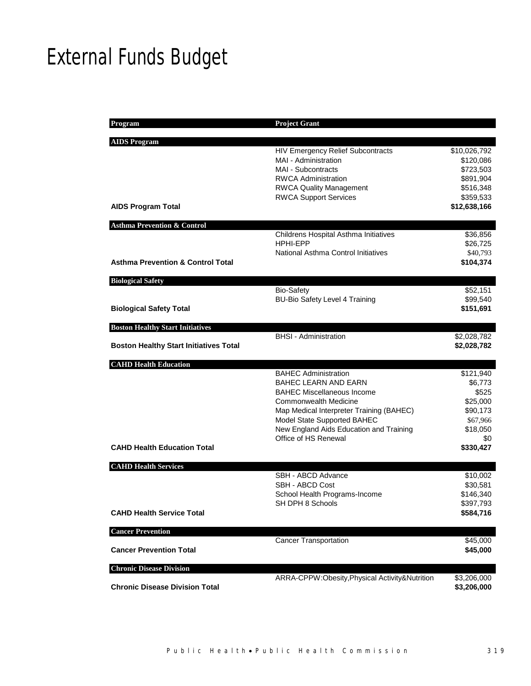# External Funds Budget

| <b>Program</b>                                | <b>Project Grant</b>                           |              |
|-----------------------------------------------|------------------------------------------------|--------------|
|                                               |                                                |              |
| <b>AIDS Program</b>                           |                                                |              |
|                                               | <b>HIV Emergency Relief Subcontracts</b>       | \$10,026,792 |
|                                               | MAI - Administration                           | \$120,086    |
|                                               | MAI - Subcontracts                             | \$723,503    |
|                                               | <b>RWCA Administration</b>                     | \$891,904    |
|                                               | <b>RWCA Quality Management</b>                 | \$516,348    |
|                                               | <b>RWCA Support Services</b>                   | \$359,533    |
| <b>AIDS Program Total</b>                     |                                                | \$12,638,166 |
| <b>Asthma Prevention &amp; Control</b>        |                                                |              |
|                                               | Childrens Hospital Asthma Initiatives          | \$36,856     |
|                                               | <b>HPHI-EPP</b>                                | \$26,725     |
|                                               | National Asthma Control Initiatives            | \$40,793     |
| <b>Asthma Prevention &amp; Control Total</b>  |                                                | \$104,374    |
|                                               |                                                |              |
| <b>Biological Safety</b>                      |                                                |              |
|                                               | <b>Bio-Safety</b>                              | \$52,151     |
|                                               | <b>BU-Bio Safety Level 4 Training</b>          | \$99,540     |
| <b>Biological Safety Total</b>                |                                                | \$151,691    |
| <b>Boston Healthy Start Initiatives</b>       |                                                |              |
|                                               | <b>BHSI</b> - Administration                   | \$2,028,782  |
| <b>Boston Healthy Start Initiatives Total</b> |                                                | \$2,028,782  |
|                                               |                                                |              |
| <b>CAHD Health Education</b>                  |                                                |              |
|                                               | <b>BAHEC Administration</b>                    | \$121,940    |
|                                               | BAHEC LEARN AND EARN                           | \$6,773      |
|                                               | <b>BAHEC Miscellaneous Income</b>              | \$525        |
|                                               | <b>Commonwealth Medicine</b>                   | \$25,000     |
|                                               | Map Medical Interpreter Training (BAHEC)       | \$90,173     |
|                                               | Model State Supported BAHEC                    | \$67,966     |
|                                               | New England Aids Education and Training        | \$18,050     |
| <b>CAHD Health Education Total</b>            | Office of HS Renewal                           | \$0          |
|                                               |                                                | \$330,427    |
| <b>CAHD Health Services</b>                   |                                                |              |
|                                               | SBH - ABCD Advance                             | \$10,002     |
|                                               | SBH - ABCD Cost                                | \$30,581     |
|                                               | School Health Programs-Income                  | \$146,340    |
|                                               | SH DPH 8 Schools                               | \$397,793    |
| <b>CAHD Health Service Total</b>              |                                                | \$584,716    |
|                                               |                                                |              |
| <b>Cancer Prevention</b>                      |                                                |              |
|                                               | <b>Cancer Transportation</b>                   | \$45,000     |
| <b>Cancer Prevention Total</b>                |                                                | \$45,000     |
| <b>Chronic Disease Division</b>               |                                                |              |
|                                               | ARRA-CPPW:Obesity, Physical Activity&Nutrition | \$3,206,000  |
| <b>Chronic Disease Division Total</b>         |                                                | \$3,206,000  |
|                                               |                                                |              |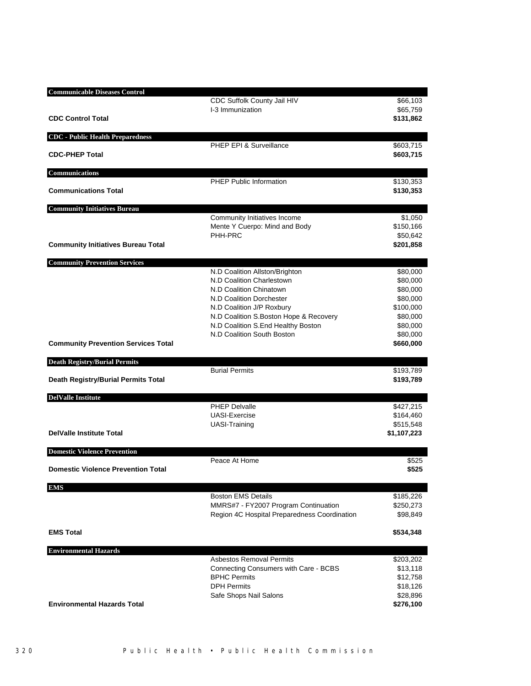| <b>Communicable Diseases Control</b>       |                                                                  |                        |
|--------------------------------------------|------------------------------------------------------------------|------------------------|
|                                            | CDC Suffolk County Jail HIV<br>I-3 Immunization                  | \$66,103<br>\$65,759   |
| <b>CDC Control Total</b>                   |                                                                  | \$131,862              |
| <b>CDC</b> - Public Health Preparedness    |                                                                  |                        |
| <b>CDC-PHEP Total</b>                      | PHEP EPI & Surveillance                                          | \$603,715<br>\$603,715 |
| <b>Communications</b>                      |                                                                  |                        |
| <b>Communications Total</b>                | <b>PHEP Public Information</b>                                   | \$130,353<br>\$130,353 |
| <b>Community Initiatives Bureau</b>        |                                                                  |                        |
|                                            | Community Initiatives Income                                     | \$1,050                |
|                                            | Mente Y Cuerpo: Mind and Body                                    | \$150,166              |
| <b>Community Initiatives Bureau Total</b>  | PHH-PRC                                                          | \$50,642<br>\$201,858  |
| <b>Community Prevention Services</b>       |                                                                  |                        |
|                                            | N.D Coalition Allston/Brighton                                   | \$80,000               |
|                                            | N.D Coalition Charlestown                                        | \$80,000               |
|                                            | N.D Coalition Chinatown                                          | \$80,000               |
|                                            | N.D Coalition Dorchester                                         | \$80,000               |
|                                            | N.D Coalition J/P Roxbury                                        | \$100,000              |
|                                            | N.D Coalition S.Boston Hope & Recovery                           | \$80,000               |
|                                            | N.D Coalition S.End Healthy Boston<br>N.D Coalition South Boston | \$80,000<br>\$80,000   |
| <b>Community Prevention Services Total</b> |                                                                  | \$660,000              |
| <b>Death Registry/Burial Permits</b>       |                                                                  |                        |
|                                            | <b>Burial Permits</b>                                            | \$193,789              |
| Death Registry/Burial Permits Total        |                                                                  | \$193,789              |
| <b>DelValle Institute</b>                  | <b>PHEP Delvalle</b>                                             |                        |
|                                            | <b>UASI-Exercise</b>                                             | \$427,215<br>\$164,460 |
|                                            | <b>UASI-Training</b>                                             | \$515,548              |
| <b>DelValle Institute Total</b>            |                                                                  | \$1,107,223            |
| <b>Domestic Violence Prevention</b>        |                                                                  |                        |
| <b>Domestic Violence Prevention Total</b>  | Peace At Home                                                    | \$525<br>\$525         |
|                                            |                                                                  |                        |
| <b>EMS</b>                                 | <b>Boston EMS Details</b>                                        | \$185,226              |
|                                            | MMRS#7 - FY2007 Program Continuation                             | \$250,273              |
|                                            | Region 4C Hospital Preparedness Coordination                     | \$98,849               |
| <b>EMS Total</b>                           |                                                                  | \$534,348              |
| <b>Environmental Hazards</b>               |                                                                  |                        |
|                                            | <b>Asbestos Removal Permits</b>                                  | \$203,202              |
|                                            | Connecting Consumers with Care - BCBS                            | \$13,118               |
|                                            | <b>BPHC Permits</b>                                              | \$12,758               |
|                                            | <b>DPH Permits</b>                                               | \$18,126               |
| <b>Environmental Hazards Total</b>         | Safe Shops Nail Salons                                           | \$28,896<br>\$276,100  |
|                                            |                                                                  |                        |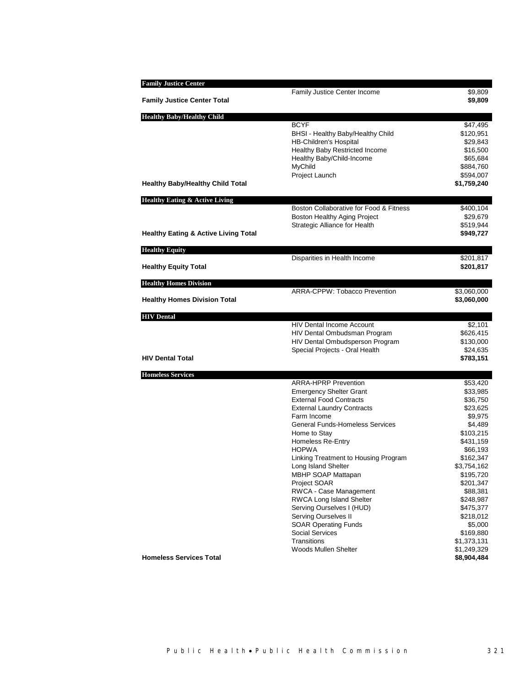| <b>Family Justice Center</b>                    |                                                              |                          |
|-------------------------------------------------|--------------------------------------------------------------|--------------------------|
|                                                 | <b>Family Justice Center Income</b>                          | \$9,809                  |
| <b>Family Justice Center Total</b>              |                                                              | \$9,809                  |
| <b>Healthy Baby/Healthy Child</b>               |                                                              |                          |
|                                                 | <b>BCYF</b>                                                  | \$47,495                 |
|                                                 | BHSI - Healthy Baby/Healthy Child                            | \$120,951                |
|                                                 | <b>HB-Children's Hospital</b>                                | \$29,843                 |
|                                                 | Healthy Baby Restricted Income                               | \$16,500                 |
|                                                 | Healthy Baby/Child-Income                                    | \$65,684                 |
|                                                 | MyChild                                                      | \$884,760                |
| <b>Healthy Baby/Healthy Child Total</b>         | Project Launch                                               | \$594,007<br>\$1,759,240 |
|                                                 |                                                              |                          |
| <b>Healthy Eating &amp; Active Living</b>       | Boston Collaborative for Food & Fitness                      | \$400,104                |
|                                                 | Boston Healthy Aging Project                                 | \$29,679                 |
|                                                 | Strategic Alliance for Health                                | \$519,944                |
| <b>Healthy Eating &amp; Active Living Total</b> |                                                              | \$949,727                |
|                                                 |                                                              |                          |
| <b>Healthy Equity</b>                           | Disparities in Health Income                                 | \$201,817                |
| <b>Healthy Equity Total</b>                     |                                                              | \$201,817                |
|                                                 |                                                              |                          |
| <b>Healthy Homes Division</b>                   |                                                              |                          |
|                                                 | ARRA-CPPW: Tobacco Prevention                                | \$3,060,000              |
| <b>Healthy Homes Division Total</b>             |                                                              | \$3,060,000              |
| <b>HIV</b> Dental                               |                                                              |                          |
|                                                 | <b>HIV Dental Income Account</b>                             | \$2,101                  |
|                                                 | HIV Dental Ombudsman Program                                 | \$626,415                |
|                                                 | HIV Dental Ombudsperson Program                              | \$130,000                |
|                                                 | Special Projects - Oral Health                               | \$24,635                 |
| <b>HIV Dental Total</b>                         |                                                              | \$783,151                |
| <b>Homeless Services</b>                        |                                                              |                          |
|                                                 | <b>ARRA-HPRP Prevention</b>                                  | \$53,420                 |
|                                                 | <b>Emergency Shelter Grant</b>                               | \$33,985                 |
|                                                 | <b>External Food Contracts</b>                               | \$36,750                 |
|                                                 | <b>External Laundry Contracts</b><br>Farm Income             | \$23,625                 |
|                                                 | <b>General Funds-Homeless Services</b>                       | \$9,975<br>\$4,489       |
|                                                 | Home to Stay                                                 | \$103,215                |
|                                                 | <b>Homeless Re-Entry</b>                                     | \$431,159                |
|                                                 | <b>HOPWA</b>                                                 | \$66,193                 |
|                                                 | Linking Treatment to Housing Program                         | \$162,347                |
|                                                 | Long Island Shelter                                          | \$3,754,162              |
|                                                 | <b>MBHP SOAP Mattapan</b>                                    | \$195,720                |
|                                                 | Project SOAR                                                 | \$201,347                |
|                                                 | RWCA - Case Management                                       | \$88,381                 |
|                                                 | <b>RWCA Long Island Shelter</b><br>Serving Ourselves I (HUD) | \$248,987<br>\$475,377   |
|                                                 | <b>Serving Ourselves II</b>                                  | \$218,012                |
|                                                 | <b>SOAR Operating Funds</b>                                  | \$5,000                  |
|                                                 | <b>Social Services</b>                                       | \$169,880                |
|                                                 | Transitions                                                  | \$1,373,131              |
|                                                 | Woods Mullen Shelter                                         | \$1,249,329              |
| <b>Homeless Services Total</b>                  |                                                              | \$8,904,484              |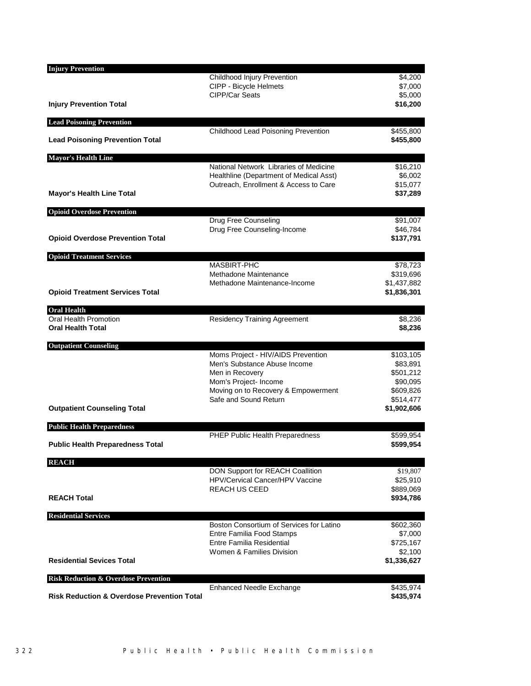| <b>Injury Prevention</b>                              |                                                     |                        |
|-------------------------------------------------------|-----------------------------------------------------|------------------------|
|                                                       | Childhood Injury Prevention                         | \$4,200                |
|                                                       | CIPP - Bicycle Helmets<br>CIPP/Car Seats            | \$7,000                |
| <b>Injury Prevention Total</b>                        |                                                     | \$5,000<br>\$16,200    |
| <b>Lead Poisoning Prevention</b>                      |                                                     |                        |
| <b>Lead Poisoning Prevention Total</b>                | Childhood Lead Poisoning Prevention                 | \$455,800<br>\$455,800 |
|                                                       |                                                     |                        |
| <b>Mayor's Health Line</b>                            | National Network Libraries of Medicine              | \$16,210               |
|                                                       | Healthline (Department of Medical Asst)             | \$6,002                |
|                                                       | Outreach, Enrollment & Access to Care               | \$15,077               |
| <b>Mayor's Health Line Total</b>                      |                                                     | \$37,289               |
| <b>Opioid Overdose Prevention</b>                     |                                                     |                        |
|                                                       | Drug Free Counseling<br>Drug Free Counseling-Income | \$91,007<br>\$46,784   |
| <b>Opioid Overdose Prevention Total</b>               |                                                     | \$137,791              |
| <b>Opioid Treatment Services</b>                      |                                                     |                        |
|                                                       | <b>MASBIRT-PHC</b>                                  | \$78,723               |
|                                                       | Methadone Maintenance                               | \$319,696              |
|                                                       | Methadone Maintenance-Income                        | \$1,437,882            |
| <b>Opioid Treatment Services Total</b>                |                                                     | \$1,836,301            |
| <b>Oral Health</b>                                    |                                                     |                        |
| Oral Health Promotion<br><b>Oral Health Total</b>     | <b>Residency Training Agreement</b>                 | \$8,236<br>\$8,236     |
| <b>Outpatient Counseling</b>                          |                                                     |                        |
|                                                       | Moms Project - HIV/AIDS Prevention                  | \$103,105              |
|                                                       | Men's Substance Abuse Income<br>Men in Recovery     | \$83,891<br>\$501,212  |
|                                                       | Mom's Project- Income                               | \$90,095               |
|                                                       | Moving on to Recovery & Empowerment                 | \$609,826              |
|                                                       | Safe and Sound Return                               | \$514,477              |
| <b>Outpatient Counseling Total</b>                    |                                                     | \$1,902,606            |
| <b>Public Health Preparedness</b>                     |                                                     |                        |
| <b>Public Health Preparedness Total</b>               | PHEP Public Health Preparedness                     | \$599,954<br>\$599,954 |
| <b>REACH</b>                                          |                                                     |                        |
|                                                       | DON Support for REACH Coallition                    | \$19,807               |
|                                                       | HPV/Cervical Cancer/HPV Vaccine                     | \$25,910               |
|                                                       | <b>REACH US CEED</b>                                | \$889,069              |
| <b>REACH Total</b>                                    |                                                     | \$934,786              |
| <b>Residential Services</b>                           | Boston Consortium of Services for Latino            | \$602,360              |
|                                                       | Entre Familia Food Stamps                           | \$7,000                |
|                                                       | Entre Familia Residential                           | \$725,167              |
|                                                       | Women & Families Division                           | \$2,100                |
| <b>Residential Sevices Total</b>                      |                                                     | \$1,336,627            |
| <b>Risk Reduction &amp; Overdose Prevention</b>       |                                                     |                        |
| <b>Risk Reduction &amp; Overdose Prevention Total</b> | <b>Enhanced Needle Exchange</b>                     | \$435,974<br>\$435,974 |
|                                                       |                                                     |                        |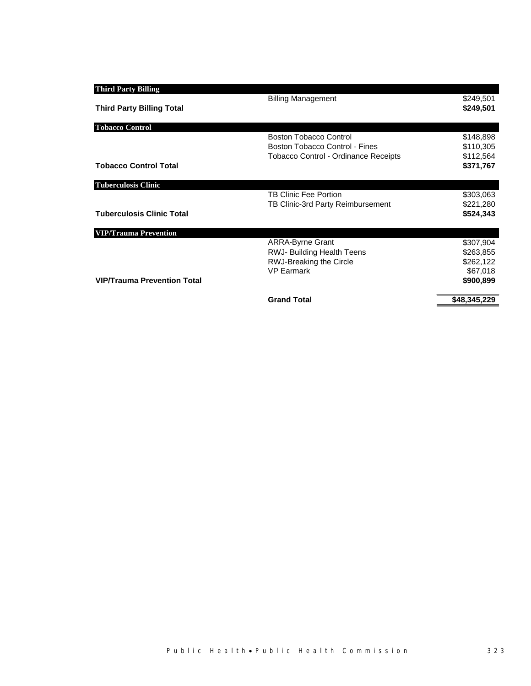| <b>Third Party Billing</b>         |                                             |              |
|------------------------------------|---------------------------------------------|--------------|
|                                    | <b>Billing Management</b>                   | \$249,501    |
| <b>Third Party Billing Total</b>   |                                             | \$249,501    |
|                                    |                                             |              |
| <b>Tobacco Control</b>             |                                             |              |
|                                    | <b>Boston Tobacco Control</b>               | \$148,898    |
|                                    | Boston Tobacco Control - Fines              | \$110,305    |
|                                    | <b>Tobacco Control - Ordinance Receipts</b> | \$112,564    |
| <b>Tobacco Control Total</b>       |                                             | \$371,767    |
|                                    |                                             |              |
| <b>Tuberculosis Clinic</b>         |                                             |              |
|                                    | TB Clinic Fee Portion                       | \$303,063    |
|                                    | TB Clinic-3rd Party Reimbursement           | \$221,280    |
| <b>Tuberculosis Clinic Total</b>   |                                             | \$524,343    |
|                                    |                                             |              |
| <b>VIP/Trauma Prevention</b>       | <b>ARRA-Byrne Grant</b>                     | \$307,904    |
|                                    | <b>RWJ- Building Health Teens</b>           | \$263,855    |
|                                    | RWJ-Breaking the Circle                     | \$262,122    |
|                                    | <b>VP Earmark</b>                           | \$67,018     |
| <b>VIP/Trauma Prevention Total</b> |                                             |              |
|                                    |                                             | \$900,899    |
|                                    | <b>Grand Total</b>                          | \$48,345,229 |
|                                    |                                             |              |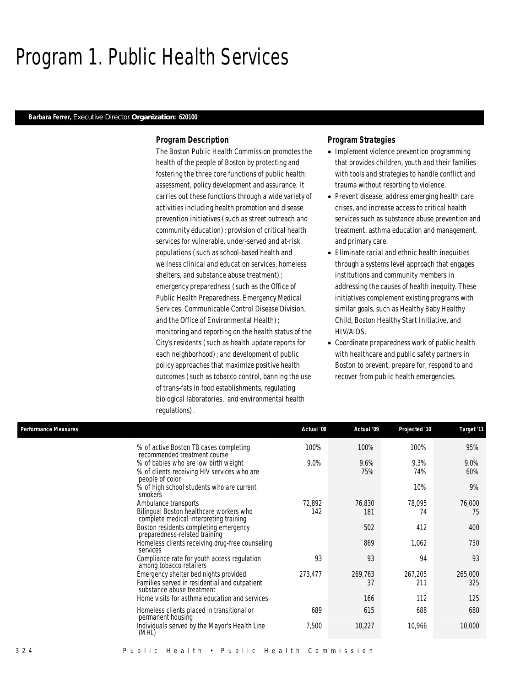# Program 1. Public Health Services

# *Barbara Ferrer, Executive Director Organization: 620100*

# *Program Description*

The Boston Public Health Commission promotes the health of the people of Boston by protecting and fostering the three core functions of public health: assessment, policy development and assurance. It carries out these functions through a wide variety of activities including health promotion and disease prevention initiatives (such as street outreach and community education); provision of critical health services for vulnerable, under-served and at-risk populations (such as school-based health and wellness clinical and education services, homeless shelters, and substance abuse treatment); emergency preparedness (such as the Office of Public Health Preparedness, Emergency Medical Services, Communicable Control Disease Division, and the Office of Environmental Health); monitoring and reporting on the health status of the City's residents (such as health update reports for each neighborhood); and development of public policy approaches that maximize positive health outcomes (such as tobacco control, banning the use of trans-fats in food establishments, regulating biological laboratories, and environmental health regulations).

# *Program Strategies*

- Implement violence prevention programming that provides children, youth and their families with tools and strategies to handle conflict and trauma without resorting to violence.
- Prevent disease, address emerging health care crises, and increase access to critical health services such as substance abuse prevention and treatment, asthma education and management, and primary care.
- Eliminate racial and ethnic health inequities through a systems level approach that engages institutions and community members in addressing the causes of health inequity. These initiatives complement existing programs with similar goals, such as Healthy Baby Healthy Child, Boston Healthy Start Initiative, and HIV/AIDS.
- Coordinate preparedness work of public health with healthcare and public safety partners in Boston to prevent, prepare for, respond to and recover from public health emergencies.

| <b>Performance Measures</b>                                                                                         | Actual '08    | Actual '09    | Projected '10  | Target '11     |
|---------------------------------------------------------------------------------------------------------------------|---------------|---------------|----------------|----------------|
| % of active Boston TB cases completing<br>recommended treatment course                                              | 100%          | 100%          | 100%           | 95%            |
| % of babies who are low birth weight<br>% of clients receiving HIV services who are<br>people of color              | 9.0%          | 9.6%<br>75%   | 9.3%<br>74%    | 9.0%<br>60%    |
| % of high school students who are current<br>smokers                                                                |               |               | 10%            | 9%             |
| Ambulance transports<br>Bilingual Boston healthcare workers who<br>complete medical interpreting training           | 72,892<br>142 | 76,830<br>181 | 78,095<br>74   | 76,000<br>75   |
| Boston residents completing emergency<br>preparedness-related training                                              |               | 502           | 412            | 400            |
| Homeless clients receiving drug-free counseling<br>services                                                         |               | 869           | 1,062          | 750            |
| Compliance rate for youth access regulation<br>among tobacco retailers                                              | 93            | 93            | 94             | 93             |
| Emergency shelter bed nights provided<br>Families served in residential and outpatient<br>substance abuse treatment | 273,477       | 269,763<br>37 | 267,205<br>211 | 265,000<br>325 |
| Home visits for asthma education and services                                                                       |               | 166           | 112            | 125            |
| Homeless clients placed in transitional or<br>permanent housing                                                     | 689           | 615           | 688            | 680            |
| Individuals served by the Mayor's Health Line<br>(MHL)                                                              | 7.500         | 10,227        | 10,966         | 10,000         |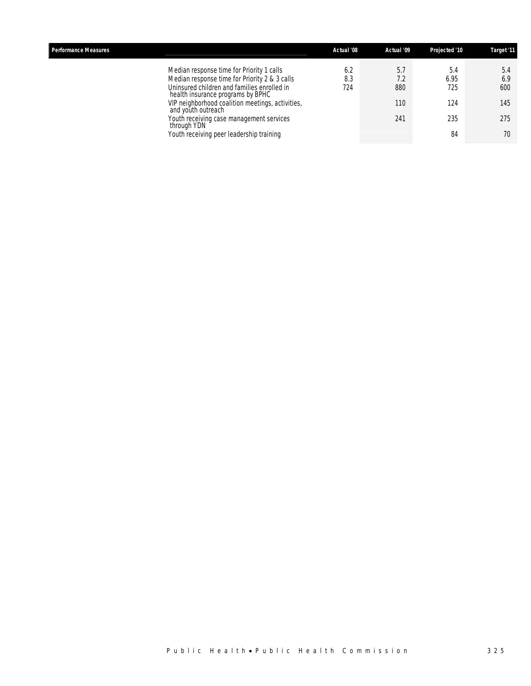| <b>Performance Measures</b>                                                                                                                                                                                                                                                                                                                                     | Actual '08        | Actual '09                      | Projected '10                          | Target '11                            |
|-----------------------------------------------------------------------------------------------------------------------------------------------------------------------------------------------------------------------------------------------------------------------------------------------------------------------------------------------------------------|-------------------|---------------------------------|----------------------------------------|---------------------------------------|
| Median response time for Priority 1 calls<br>Median response time for Priority 2 & 3 calls<br>Uninsured children and families enrolled in<br>health insurance programs by BPHC<br>VIP neighborhood coalition meetings, activities,<br>and youth outreach<br>Youth receiving case management services<br>through YDN<br>Youth receiving peer leadership training | 6.2<br>8.3<br>724 | 5.7<br>7.2<br>880<br>110<br>241 | 5.4<br>6.95<br>725<br>124<br>235<br>84 | 5.4<br>6.9<br>600<br>145<br>275<br>70 |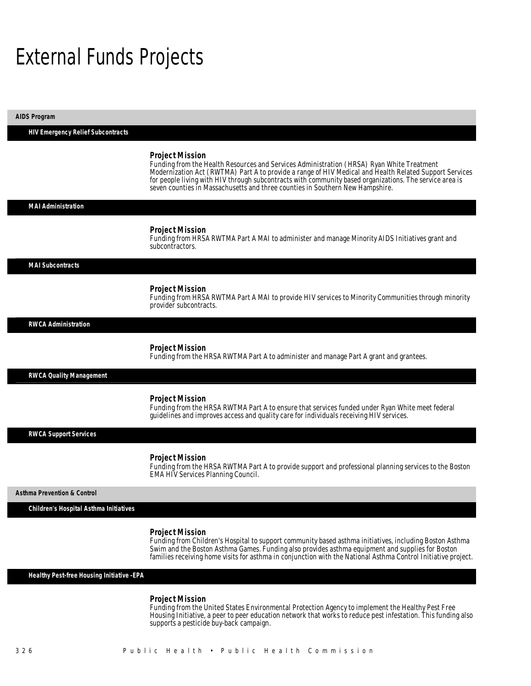# External Funds Projects

| <b>AIDS Program</b>                       |                                                                                                                                                                                                                                                                                                                                                                                                                           |
|-------------------------------------------|---------------------------------------------------------------------------------------------------------------------------------------------------------------------------------------------------------------------------------------------------------------------------------------------------------------------------------------------------------------------------------------------------------------------------|
| <b>HIV Emergency Relief Subcontracts</b>  |                                                                                                                                                                                                                                                                                                                                                                                                                           |
|                                           | <b>Project Mission</b><br>Funding from the Health Resources and Services Administration (HRSA) Ryan White Treatment<br>Modernization Act (RWTMA) Part A to provide a range of HIV Medical and Health Related Support Services<br>for people living with HIV through subcontracts with community based organizations. The service area is<br>seven counties in Massachusetts and three counties in Southern New Hampshire. |
| <b>MAI Administration</b>                 |                                                                                                                                                                                                                                                                                                                                                                                                                           |
|                                           | <b>Project Mission</b><br>Funding from HRSA RWTMA Part A MAI to administer and manage Minority AIDS Initiatives grant and<br>subcontractors.                                                                                                                                                                                                                                                                              |
| <b>MAI Subcontracts</b>                   |                                                                                                                                                                                                                                                                                                                                                                                                                           |
|                                           | <b>Project Mission</b><br>Funding from HRSA RWTMA Part A MAI to provide HIV services to Minority Communities through minority<br>provider subcontracts.                                                                                                                                                                                                                                                                   |
| <b>RWCA Administration</b>                |                                                                                                                                                                                                                                                                                                                                                                                                                           |
|                                           | <b>Project Mission</b><br>Funding from the HRSA RWTMA Part A to administer and manage Part A grant and grantees.                                                                                                                                                                                                                                                                                                          |
| <b>RWCA Quality Management</b>            |                                                                                                                                                                                                                                                                                                                                                                                                                           |
|                                           | <b>Project Mission</b><br>Funding from the HRSA RWTMA Part A to ensure that services funded under Ryan White meet federal<br>guidelines and improves access and quality care for individuals receiving HIV services.                                                                                                                                                                                                      |
| <b>RWCA Support Services</b>              |                                                                                                                                                                                                                                                                                                                                                                                                                           |
|                                           | <b>Project Mission</b><br>Funding from the HRSA RWTMA Part A to provide support and professional planning services to the Boston<br><b>EMA HIV Services Planning Council.</b>                                                                                                                                                                                                                                             |
| <b>Asthma Prevention &amp; Control</b>    |                                                                                                                                                                                                                                                                                                                                                                                                                           |
| Children's Hospital Asthma Initiatives    |                                                                                                                                                                                                                                                                                                                                                                                                                           |
|                                           | <b>Project Mission</b><br>Funding from Children's Hospital to support community based asthma initiatives, including Boston Asthma<br>Swim and the Boston Asthma Games. Funding also provides asthma equipment and supplies for Boston<br>families receiving home visits for asthma in conjunction with the National Asthma Control Initiative project.                                                                    |
| Healthy Pest-free Housing Initiative -EPA |                                                                                                                                                                                                                                                                                                                                                                                                                           |
|                                           | <b>Project Mission</b>                                                                                                                                                                                                                                                                                                                                                                                                    |

Funding from the United States Environmental Protection Agency to implement the Healthy Pest Free Housing Initiative, a peer to peer education network that works to reduce pest infestation. This funding also supports a pesticide buy-back campaign.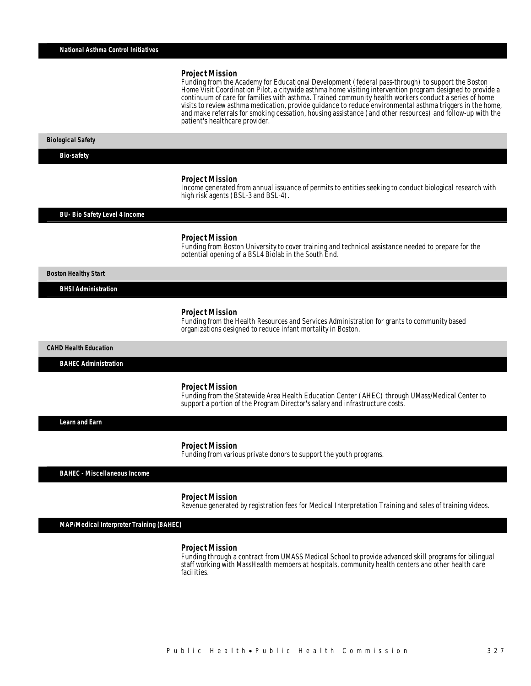Funding from the Academy for Educational Development (federal pass-through) to support the Boston Home Visit Coordination Pilot, a citywide asthma home visiting intervention program designed to provide a continuum of care for families with asthma. Trained community health workers conduct a series of home visits to review asthma medication, provide guidance to reduce environmental asthma triggers in the home, and make referrals for smoking cessation, housing assistance (and other resources) and follow-up with the patient's healthcare provider. Î

#### *Biological Safety*

*Bio-safety* 

#### *Project Mission*

Î

Income generated from annual issuance of permits to entities seeking to conduct biological research with high risk agents (BSL-3 and BSL-4).

#### *BU- Bio Safety Level 4 Income*

#### *Project Mission*

Funding from Boston University to cover training and technical assistance needed to prepare for the potential opening of a BSL4 Biolab in the South End.

*Boston Healthy Start* 

*BHSI Administration* 

#### *Project Mission*

Funding from the Health Resources and Services Administration for grants to community based organizations designed to reduce infant mortality in Boston.

*CAHD Health Education* 

*BAHEC Administration* 

#### *Project Mission*

Funding from the Statewide Area Health Education Center (AHEC) through UMass/Medical Center to support a portion of the Program Director's salary and infrastructure costs. 

*Learn and Earn* 

#### *Project Mission*

Funding from various private donors to support the youth programs.

*BAHEC - Miscellaneous Income* 

#### *Project Mission*

Revenue generated by registration fees for Medical Interpretation Training and sales of training videos.

*MAP/Medical Interpreter Training (BAHEC)* 

#### *Project Mission*

Funding through a contract from UMASS Medical School to provide advanced skill programs for bilingual staff working with MassHealth members at hospitals, community health centers and other health care facilities.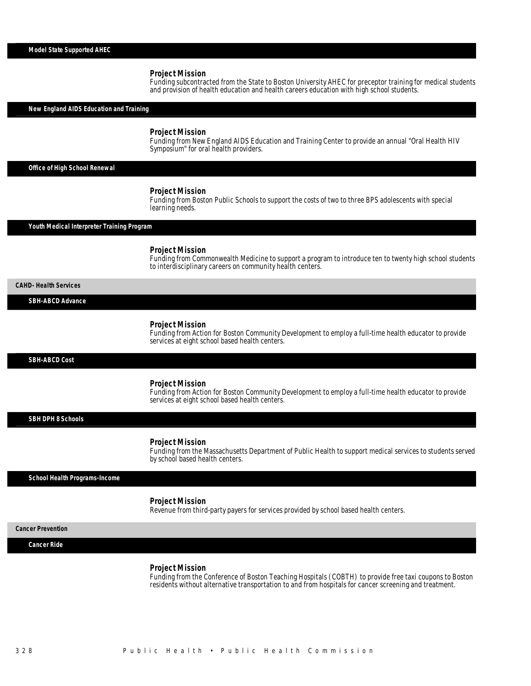Funding subcontracted from the State to Boston University AHEC for preceptor training for medical students and provision of health education and health careers education with high school students.

*New England AIDS Education and Training* 

### *Project Mission*

Funding from New England AIDS Education and Training Center to provide an annual "Oral Health HIV Symposium" for oral health providers.

*Office of High School Renewal* 

### *Project Mission*

Funding from Boston Public Schools to support the costs of two to three BPS adolescents with special learning needs.

### *Youth Medical Interpreter Training Program*

#### *Project Mission*

Funding from Commonwealth Medicine to support a program to introduce ten to twenty high school students to interdisciplinary careers on community health centers.

*CAHD- Health Services* 

# *SBH-ABCD Advance*

### *Project Mission*

Funding from Action for Boston Community Development to employ a full-time health educator to provide services at eight school based health centers.

*SBH-ABCD Cost* 

#### *Project Mission*

Funding from Action for Boston Community Development to employ a full-time health educator to provide services at eight school based health centers.

*SBH DPH 8 Schools* 

#### *Project Mission*

Funding from the Massachusetts Department of Public Health to support medical services to students served by school based health centers.

#### *School Health Programs-Income*

#### *Project Mission*

Revenue from third-party payers for services provided by school based health centers.

*Cancer Prevention* 

*Cancer Ride* 

#### *Project Mission*

Funding from the Conference of Boston Teaching Hospitals (COBTH) to provide free taxi coupons to Boston residents without alternative transportation to and from hospitals for cancer screening and treatment.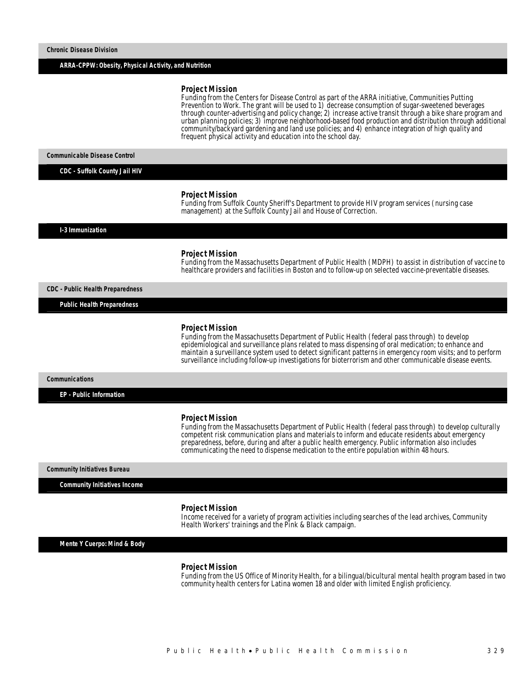#### *ARRA-CPPW: Obesity, Physical Activity, and Nutrition*

#### *Project Mission*

Funding from the Centers for Disease Control as part of the ARRA initiative, Communities Putting Prevention to Work. The grant will be used to 1) decrease consumption of sugar-sweetened beverages through counter-advertising and policy change; 2) increase active transit through a bike share program and urban planning policies; 3) improve neighborhood-based food production and distribution through additional community/backyard gardening and land use policies; and 4) enhance integration of high quality and frequent physical activity and education into the school day.

*Communicable Disease Control* 

*CDC - Suffolk County Jail HIV* 

#### *Project Mission*

Funding from Suffolk County Sheriff's Department to provide HIV program services (nursing case management) at the Suffolk County Jail and House of Correction.

*I-3 Immunization* 

#### *Project Mission*

Funding from the Massachusetts Department of Public Health (MDPH) to assist in distribution of vaccine to healthcare providers and facilities in Boston and to follow-up on selected vaccine-preventable diseases.

*CDC - Public Health Preparedness* 

*Public Health Preparedness* 

#### *Project Mission*

Funding from the Massachusetts Department of Public Health (federal pass through) to develop epidemiological and surveillance plans related to mass dispensing of oral medication; to enhance and maintain a surveillance system used to detect significant patterns in emergency room visits; and to perform surveillance including follow-up investigations for bioterrorism and other communicable disease events.

#### *Communications*

*EP - Public Information* 

#### *Project Mission*

Funding from the Massachusetts Department of Public Health (federal pass through) to develop culturally competent risk communication plans and materials to inform and educate residents about emergency preparedness, before, during and after a public health emergency. Public information also includes communicating the need to dispense medication to the entire population within 48 hours.

*Community Initiatives Bureau* 

*Community Initiatives Income* 

#### *Project Mission*

Income received for a variety of program activities including searches of the lead archives, Community Health Workers' trainings and the Pink & Black campaign.

*Mente Y Cuerpo: Mind & Body* 

#### *Project Mission*

Funding from the US Office of Minority Health, for a bilingual/bicultural mental health program based in two community health centers for Latina women 18 and older with limited English proficiency.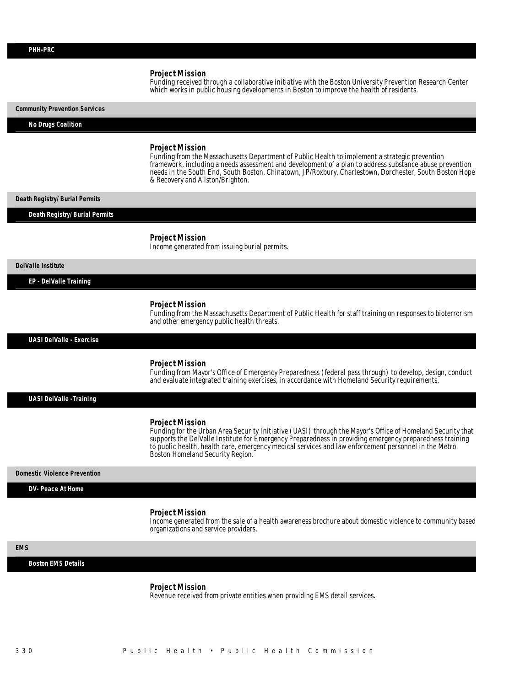Funding received through a collaborative initiative with the Boston University Prevention Research Center which works in public housing developments in Boston to improve the health of residents.

# *Community Prevention Services*

# *No Drugs Coalition*

### *Project Mission*

Funding from the Massachusetts Department of Public Health to implement a strategic prevention framework, including a needs assessment and development of a plan to address substance abuse prevention needs in the South End, South Boston, Chinatown, JP/Roxbury, Charlestown, Dorchester, South Boston Hope & Recovery and Allston/Brighton.

#### *Death Registry/ Burial Permits*

#### *Death Registry/ Burial Permits*

#### *Project Mission*

Income generated from issuing burial permits.

#### *DelValle Institute*

#### *EP - DelValle Training*

# *Project Mission*

Funding from the Massachusetts Department of Public Health for staff training on responses to bioterrorism and other emergency public health threats.

*UASI DelValle - Exercise* 

# *Project Mission*

Funding from Mayor's Office of Emergency Preparedness (federal pass through) to develop, design, conduct and evaluate integrated training exercises, in accordance with Homeland Security requirements.

### *UASI DelValle -Training*

#### *Project Mission*

Funding for the Urban Area Security Initiative (UASI) through the Mayor's Office of Homeland Security that supports the DelValle Institute for Emergency Preparedness in providing emergency preparedness training to public health, health care, emergency medical services and law enforcement personnel in the Metro Boston Homeland Security Region.

#### *Domestic Violence Prevention*

#### *DV- Peace At Home*

#### *Project Mission*

Income generated from the sale of a health awareness brochure about domestic violence to community based organizations and service providers.

# *EMS*

# *Boston EMS Details*

#### *Project Mission*

Revenue received from private entities when providing EMS detail services.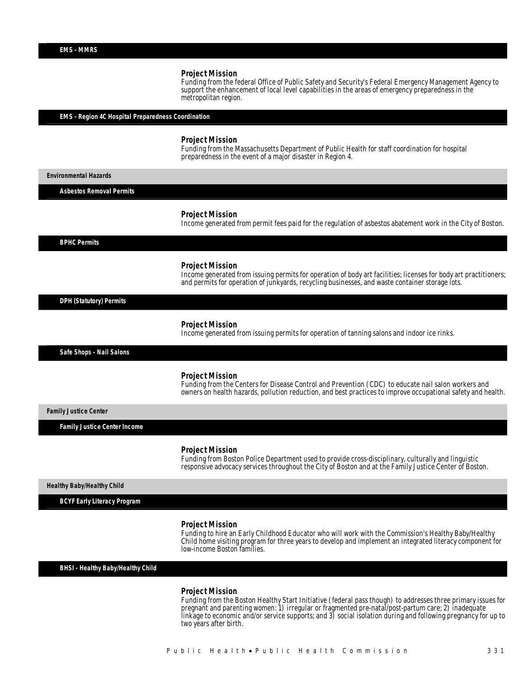Funding from the federal Office of Public Safety and Security's Federal Emergency Management Agency to support the enhancement of local level capabilities in the areas of emergency preparedness in the metropolitan region.

*EMS - Region 4C Hospital Preparedness Coordination* 

#### *Project Mission*

Funding from the Massachusetts Department of Public Health for staff coordination for hospital preparedness in the event of a major disaster in Region 4.

*Environmental Hazards* 

*Asbestos Removal Permits* 

#### *Project Mission*

Income generated from permit fees paid for the regulation of asbestos abatement work in the City of Boston.

*BPHC Permits* 

#### *Project Mission*

Income generated from issuing permits for operation of body art facilities; licenses for body art practitioners; and permits for operation of junkyards, recycling businesses, and waste container storage lots.

*DPH (Statutory) Permits* 

#### *Project Mission*

Income generated from issuing permits for operation of tanning salons and indoor ice rinks.

*Safe Shops - Nail Salons* 

### *Project Mission*

Funding from the Centers for Disease Control and Prevention (CDC) to educate nail salon workers and owners on health hazards, pollution reduction, and best practices to improve occupational safety and health.

*Family Justice Center* 

*Family Justice Center Income* 

#### *Project Mission*

Funding from Boston Police Department used to provide cross-disciplinary, culturally and linguistic responsive advocacy services throughout the City of Boston and at the Family Justice Center of Boston.

*Healthy Baby/Healthy Child* 

*BCYF Early Literacy Program* 

#### *Project Mission*

Funding to hire an Early Childhood Educator who will work with the Commission's Healthy Baby/Healthy Child home visiting program for three years to develop and implement an integrated literacy component for low-income Boston families.

*BHSI - Healthy Baby/Healthy Child* 

#### *Project Mission*

Funding from the Boston Healthy Start Initiative (federal pass though) to addresses three primary issues for pregnant and parenting women: 1) irregular or fragmented pre-natal/post-partum care; 2) inadequate linkage to economic and/or service supports; and 3) social isolation during and following pregnancy for up to two years after birth.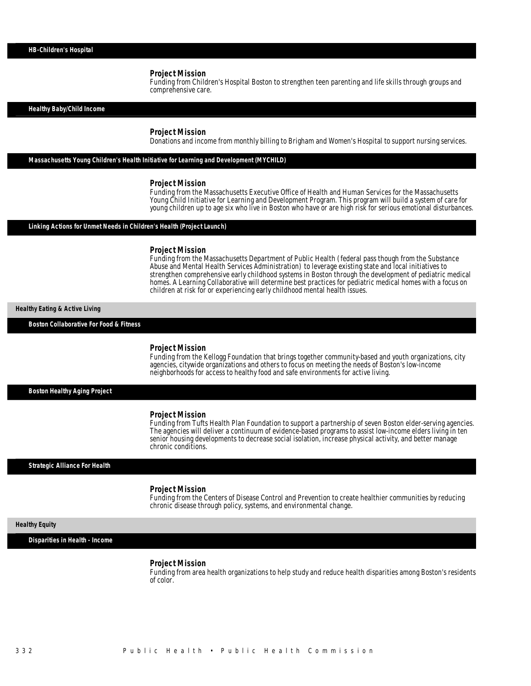Funding from Children's Hospital Boston to strengthen teen parenting and life skills through groups and comprehensive care.

*Healthy Baby/Child Income* 

#### *Project Mission*

Donations and income from monthly billing to Brigham and Women's Hospital to support nursing services.

*Massachusetts Young Children's Health Initiative for Learning and Development (MYCHILD)* 

Ï

#### *Project Mission*

Funding from the Massachusetts Executive Office of Health and Human Services for the Massachusetts Young Child Initiative for Learning and Development Program. This program will build a system of care for young children up to age six who live in Boston who have or are high risk for serious emotional disturbances.

# *Linking Actions for Unmet Needs in Children's Health (Project Launch)*

#### *Project Mission*

Funding from the Massachusetts Department of Public Health (federal pass though from the Substance Abuse and Mental Health Services Administration) to leverage existing state and local initiatives to strengthen comprehensive early childhood systems in Boston through the development of pediatric medical homes. A Learning Collaborative will determine best practices for pediatric medical homes with a focus on children at risk for or experiencing early childhood mental health issues.

# *Healthy Eating & Active Living*

*Boston Collaborative For Food & Fitness* 

#### *Project Mission*

Funding from the Kellogg Foundation that brings together community-based and youth organizations, city agencies, citywide organizations and others to focus on meeting the needs of Boston's low-income neighborhoods for access to healthy food and safe environments for active living.

*Boston Healthy Aging Project* 

#### *Project Mission*

Funding from Tufts Health Plan Foundation to support a partnership of seven Boston elder-serving agencies. The agencies will deliver a continuum of evidence-based programs to assist low-income elders living in ten senior housing developments to decrease social isolation, increase physical activity, and better manage chronic conditions.

#### *Strategic Alliance For Health*

#### *Project Mission*

Funding from the Centers of Disease Control and Prevention to create healthier communities by reducing chronic disease through policy, systems, and environmental change.

#### *Healthy Equity*

*Disparities in Health - Income* 

#### *Project Mission*

Funding from area health organizations to help study and reduce health disparities among Boston's residents of color.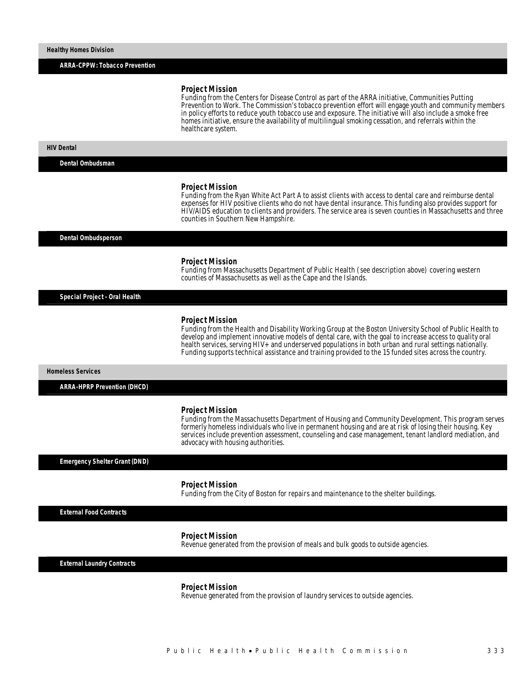*ARRA-CPPW: Tobacco Prevention* 

#### *Project Mission*

Funding from the Centers for Disease Control as part of the ARRA initiative, Communities Putting Prevention to Work. The Commission's tobacco prevention effort will engage youth and community members in policy efforts to reduce youth tobacco use and exposure. The initiative will also include a smoke free homes initiative, ensure the availability of multilingual smoking cessation, and referrals within the healthcare system.

#### *HIV Dental*

*Dental Ombudsman* 

#### *Project Mission*

Funding from the Ryan White Act Part A to assist clients with access to dental care and reimburse dental expenses for HIV positive clients who do not have dental insurance. This funding also provides support for HIV/AIDS education to clients and providers. The service area is seven counties in Massachusetts and three counties in Southern New Hampshire.

*Dental Ombudsperson* 

#### *Project Mission*

Funding from Massachusetts Department of Public Health (see description above) covering western counties of Massachusetts as well as the Cape and the Islands.

*Special Project - Oral Health* 

#### *Project Mission*

Funding from the Health and Disability Working Group at the Boston University School of Public Health to develop and implement innovative models of dental care, with the goal to increase access to quality oral health services, serving HIV+ and underserved populations in both urban and rural settings nationally. Funding supports technical assistance and training provided to the 15 funded sites across the country.

*Homeless Services* 

*ARRA-HPRP Prevention (DHCD)* 

#### *Project Mission*

Funding from the Massachusetts Department of Housing and Community Development. This program serves formerly homeless individuals who live in permanent housing and are at risk of losing their housing. Key services include prevention assessment, counseling and case management, tenant landlord mediation, and advocacy with housing authorities.

*Emergency Shelter Grant (DND)* 

#### *Project Mission*

Funding from the City of Boston for repairs and maintenance to the shelter buildings.

*External Food Contracts* 

#### *Project Mission*

Revenue generated from the provision of meals and bulk goods to outside agencies.

*External Laundry Contracts* 

#### *Project Mission*

Revenue generated from the provision of laundry services to outside agencies.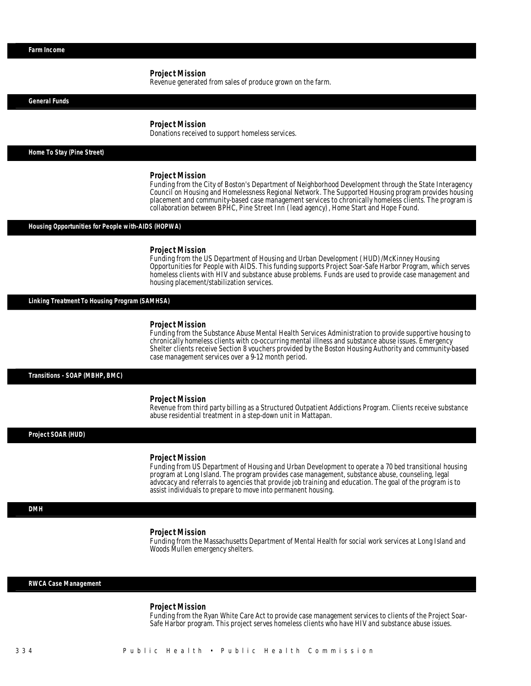Revenue generated from sales of produce grown on the farm.

*General Funds* 

#### *Project Mission*

Donations received to support homeless services.

*Home To Stay (Pine Street)* 

#### *Project Mission*

Funding from the City of Boston's Department of Neighborhood Development through the State Interagency Council on Housing and Homelessness Regional Network. The Supported Housing program provides housing placement and community-based case management services to chronically homeless clients. The program is collaboration between BPHC, Pine Street Inn (lead agency), Home Start and Hope Found.

#### *Housing Opportunities for People with-AIDS (HOPWA)*

#### *Project Mission*

Funding from the US Department of Housing and Urban Development (HUD)/McKinney Housing Opportunities for People with AIDS. This funding supports Project Soar-Safe Harbor Program, which serves homeless clients with HIV and substance abuse problems. Funds are used to provide case management and housing placement/stabilization services.

#### *Linking Treatment To Housing Program (SAMHSA)*

#### *Project Mission*

Funding from the Substance Abuse Mental Health Services Administration to provide supportive housing to chronically homeless clients with co-occurring mental illness and substance abuse issues. Emergency Shelter clients receive Section 8 vouchers provided by the Boston Housing Authority and community-based case management services over a 9-12 month period.

*Transitions - SOAP (MBHP, BMC)* 

#### *Project Mission*

Revenue from third party billing as a Structured Outpatient Addictions Program. Clients receive substance abuse residential treatment in a step-down unit in Mattapan.

## *Project SOAR (HUD)*

#### *Project Mission*

Funding from US Department of Housing and Urban Development to operate a 70 bed transitional housing program at Long Island. The program provides case management, substance abuse, counseling, legal advocacy and referrals to agencies that provide job training and education. The goal of the program is to assist individuals to prepare to move into permanent housing.

# *DMH*

## *Project Mission*

Funding from the Massachusetts Department of Mental Health for social work services at Long Island and Woods Mullen emergency shelters.

# *RWCA Case Management*

*Project Mission*<br>Funding from the Ryan White Care Act to provide case management services to clients of the Project Soar-Safe Harbor program. This project serves homeless clients who have HIV and substance abuse issues.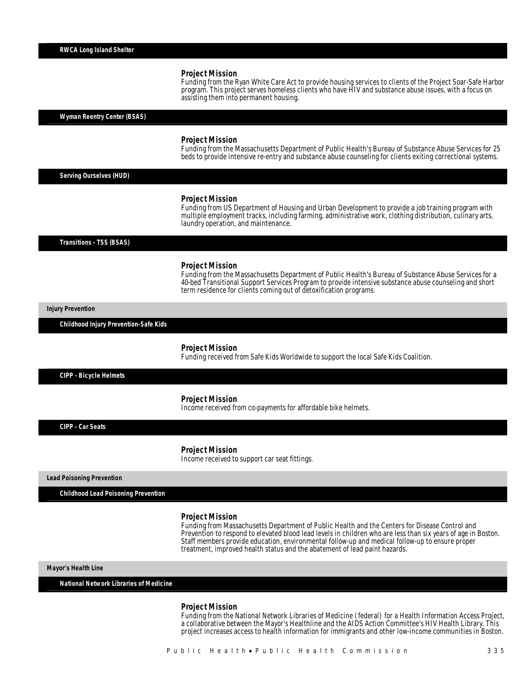Funding from the Ryan White Care Act to provide housing services to clients of the Project Soar-Safe Harbor program. This project serves homeless clients who have HIV and substance abuse issues, with a focus on assisting them into permanent housing.

*Wyman Reentry Center (BSAS)* 

#### *Project Mission*

Funding from the Massachusetts Department of Public Health's Bureau of Substance Abuse Services for 25 beds to provide intensive re-entry and substance abuse counseling for clients exiting correctional systems.

*Serving Ourselves (HUD)* 

#### *Project Mission*

Funding from US Department of Housing and Urban Development to provide a job training program with multiple employment tracks, including farming, administrative work, clothing distribution, culinary arts, laundry operation, and maintenance.

*Transitions - TSS (BSAS)* 

#### *Project Mission*

Funding from the Massachusetts Department of Public Health's Bureau of Substance Abuse Services for a 40-bed Transitional Support Services Program to provide intensive substance abuse counseling and short term residence for clients coming out of detoxification programs.

*Injury Prevention* 

*Childhood Injury Prevention-Safe Kids* 

#### *Project Mission*

Funding received from Safe Kids Worldwide to support the local Safe Kids Coalition.

*CIPP - Bicycle Helmets* 

#### *Project Mission*

Income received from co-payments for affordable bike helmets.

*CIPP - Car Seats* 

#### *Project Mission*

Income received to support car seat fittings.

*Lead Poisoning Prevention* 

*Childhood Lead Poisoning Prevention* 

#### *Project Mission*

Funding from Massachusetts Department of Public Health and the Centers for Disease Control and Prevention to respond to elevated blood lead levels in children who are less than six years of age in Boston. Staff members provide education, environmental follow-up and medical follow-up to ensure proper treatment, improved health status and the abatement of lead paint hazards.

*Mayor's Health Line* 

*National Network Libraries of Medicine* 

*Project Mission*<br>Funding from the National Network Libraries of Medicine (federal) for a Health Information Access Project, a collaborative between the Mayor's Healthline and the AIDS Action Committee's HIV Health Library. This project increases access to health information for immigrants and other low-income communities in Boston.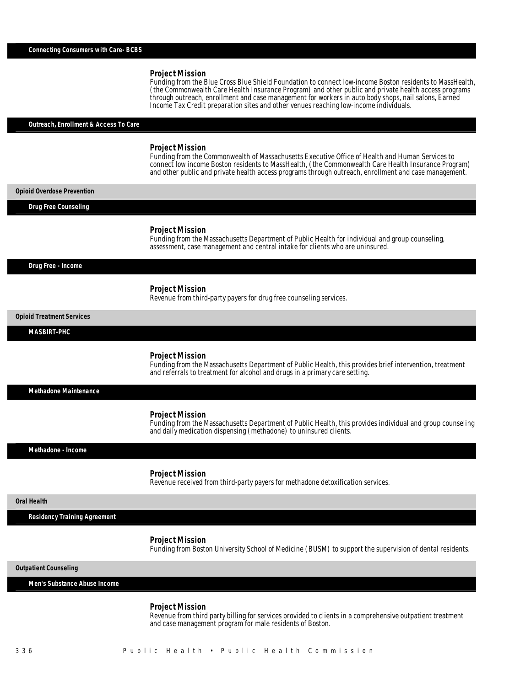Funding from the Blue Cross Blue Shield Foundation to connect low-income Boston residents to MassHealth, (the Commonwealth Care Health Insurance Program) and other public and private health access programs through outreach, enrollment and case management for workers in auto body shops, nail salons, Earned Income Tax Credit preparation sites and other venues reaching low-income individuals.

# *Outreach, Enrollment & Access To Care*

#### *Project Mission*

Funding from the Commonwealth of Massachusetts Executive Office of Health and Human Services to connect low income Boston residents to MassHealth, (the Commonwealth Care Health Insurance Program) and other public and private health access programs through outreach, enrollment and case management.

*Opioid Overdose Prevention* 

*Drug Free Counseling* 

#### *Project Mission*

Funding from the Massachusetts Department of Public Health for individual and group counseling, assessment, case management and central intake for clients who are uninsured.

#### *Drug Free - Income*

## *Project Mission*

Revenue from third-party payers for drug free counseling services.

*Opioid Treatment Services* 

#### *MASBIRT-PHC*

#### *Project Mission*

Funding from the Massachusetts Department of Public Health, this provides brief intervention, treatment and referrals to treatment for alcohol and drugs in a primary care setting.

*Methadone Maintenance* 

#### *Project Mission*

Funding from the Massachusetts Department of Public Health, this provides individual and group counseling and daily medication dispensing (methadone) to uninsured clients.

*Methadone - Income* 

#### *Project Mission*

Revenue received from third-party payers for methadone detoxification services.

# *Oral Health*

*Residency Training Agreement* 

#### *Project Mission*

Funding from Boston University School of Medicine (BUSM) to support the supervision of dental residents.

*Outpatient Counseling* 

*Men's Substance Abuse Income* 

#### *Project Mission*

Revenue from third party billing for services provided to clients in a comprehensive outpatient treatment and case management program for male residents of Boston.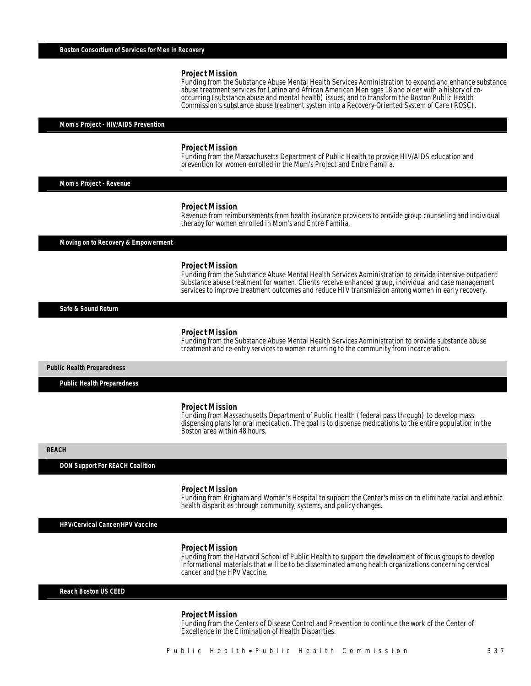Funding from the Substance Abuse Mental Health Services Administration to expand and enhance substance abuse treatment services for Latino and African American Men ages 18 and older with a history of cooccurring (substance abuse and mental health) issues; and to transform the Boston Public Health Commission's substance abuse treatment system into a Recovery-Oriented System of Care (ROSC).

# *Mom's Project - HIV/AIDS Prevention*

#### *Project Mission*

Î

Funding from the Massachusetts Department of Public Health to provide HIV/AIDS education and prevention for women enrolled in the Mom's Project and Entre Familia.

*Mom's Project - Revenue* 

#### *Project Mission*

Revenue from reimbursements from health insurance providers to provide group counseling and individual therapy for women enrolled in Mom's and Entre Familia.

*Moving on to Recovery & Empowerment* 

#### *Project Mission*

Funding from the Substance Abuse Mental Health Services Administration to provide intensive outpatient substance abuse treatment for women. Clients receive enhanced group, individual and case management services to improve treatment outcomes and reduce HIV transmission among women in early recovery.

*Safe & Sound Return* 

#### *Project Mission*

Funding from the Substance Abuse Mental Health Services Administration to provide substance abuse treatment and re-entry services to women returning to the community from incarceration.

*Public Health Preparedness* 

*Public Health Preparedness* 

#### *Project Mission*

Funding from Massachusetts Department of Public Health (federal pass through) to develop mass dispensing plans for oral medication. The goal is to dispense medications to the entire population in the Boston area within 48 hours.

*REACH* 

*DON Support For REACH Coalition* 

#### *Project Mission*

Funding from Brigham and Women's Hospital to support the Center's mission to eliminate racial and ethnic health disparities through community, systems, and policy changes.

*HPV/Cervical Cancer/HPV Vaccine* 

#### *Project Mission*

Funding from the Harvard School of Public Health to support the development of focus groups to develop informational materials that will be to be disseminated among health organizations concerning cervical cancer and the HPV Vaccine.

*Reach Boston US CEED* 

#### *Project Mission*

Funding from the Centers of Disease Control and Prevention to continue the work of the Center of Excellence in the Elimination of Health Disparities.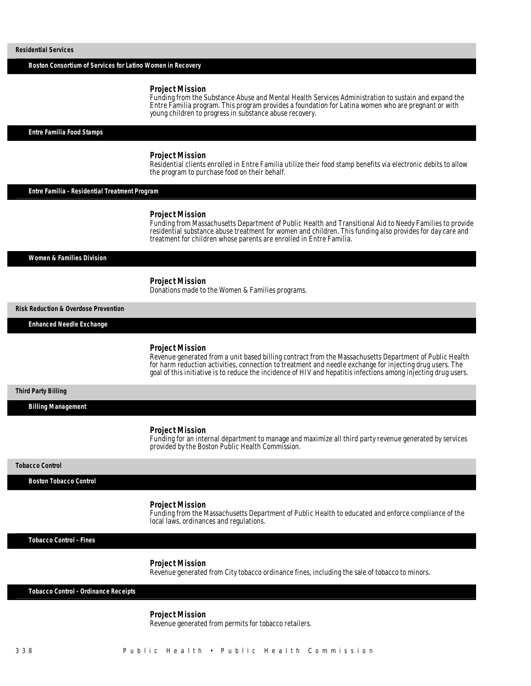*Boston Consortium of Services for Latino Women in Recovery* 

#### *Project Mission*

Ï

Funding from the Substance Abuse and Mental Health Services Administration to sustain and expand the Entre Familia program. This program provides a foundation for Latina women who are pregnant or with young children to progress in substance abuse recovery.

*Entre Familia Food Stamps* 

#### *Project Mission*

Residential clients enrolled in Entre Familia utilize their food stamp benefits via electronic debits to allow the program to purchase food on their behalf.

*Entre Familia - Residential Treatment Program* 

#### *Project Mission*

Funding from Massachusetts Department of Public Health and Transitional Aid to Needy Families to provide residential substance abuse treatment for women and children. This funding also provides for day care and treatment for children whose parents are enrolled in Entre Familia.

#### *Women & Families Division*

 *Project Mission* 

Donations made to the Women & Families programs.

*Risk Reduction & Overdose Prevention* 

*Enhanced Needle Exchange* 

## *Project Mission*

Revenue generated from a unit based billing contract from the Massachusetts Department of Public Health for harm reduction activities, connection to treatment and needle exchange for injecting drug users. The goal of this initiative is to reduce the incidence of HIV and hepatitis infections among injecting drug users.

# *Third Party Billing*

*Billing Management* 

#### *Project Mission*

Î

Funding for an internal department to manage and maximize all third party revenue generated by services provided by the Boston Public Health Commission.

#### *Tobacco Control*

*Boston Tobacco Control* 

#### *Project Mission*

Funding from the Massachusetts Department of Public Health to educated and enforce compliance of the local laws, ordinances and regulations.

*Tobacco Control - Fines* 

 *Project Mission* 

Revenue generated from City tobacco ordinance fines, including the sale of tobacco to minors.

*Tobacco Control - Ordinance Receipts* 

### *Project Mission*

Revenue generated from permits for tobacco retailers.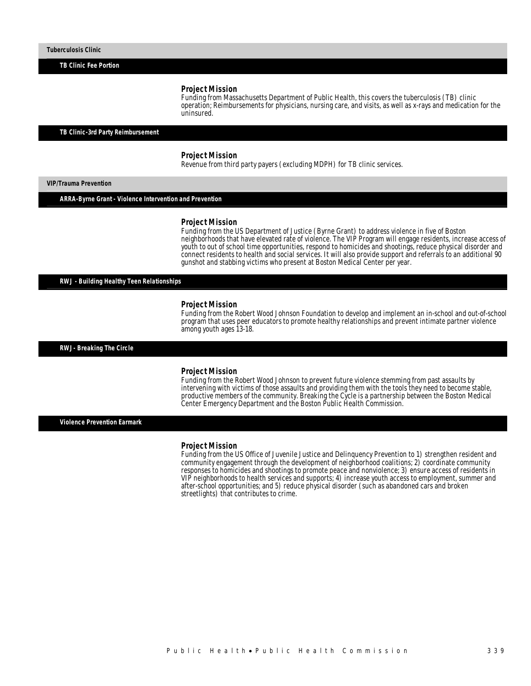*TB Clinic Fee Portion* 

### *Project Mission*

Funding from Massachusetts Department of Public Health, this covers the tuberculosis (TB) clinic operation; Reimbursements for physicians, nursing care, and visits, as well as x-rays and medication for the uninsured.

*TB Clinic-3rd Party Reimbursement* 

# *Project Mission*

Revenue from third party payers (excluding MDPH) for TB clinic services.

*VIP/Trauma Prevention* 

*ARRA-Byrne Grant - Violence Intervention and Prevention* 

#### *Project Mission*

Funding from the US Department of Justice (Byrne Grant) to address violence in five of Boston neighborhoods that have elevated rate of violence. The VIP Program will engage residents, increase access of youth to out of school time opportunities, respond to homicides and shootings, reduce physical disorder and connect residents to health and social services. It will also provide support and referrals to an additional 90 gunshot and stabbing victims who present at Boston Medical Center per year. Ì

*RWJ - Building Healthy Teen Relationships* 

#### *Project Mission*

Funding from the Robert Wood Johnson Foundation to develop and implement an in-school and out-of-school program that uses peer educators to promote healthy relationships and prevent intimate partner violence among youth ages 13-18.

*RWJ- Breaking The Circle* 

#### *Project Mission*

Funding from the Robert Wood Johnson to prevent future violence stemming from past assaults by intervening with victims of those assaults and providing them with the tools they need to become stable, productive members of the community. Breaking the Cycle is a partnership between the Boston Medical Center Emergency Department and the Boston Public Health Commission.

*Violence Prevention Earmark* 

#### *Project Mission*

Funding from the US Office of Juvenile Justice and Delinquency Prevention to 1) strengthen resident and community engagement through the development of neighborhood coalitions; 2) coordinate community responses to homicides and shootings to promote peace and nonviolence; 3) ensure access of residents in VIP neighborhoods to health services and supports; 4) increase youth access to employment, summer and after-school opportunities; and 5) reduce physical disorder (such as abandoned cars and broken streetlights) that contributes to crime.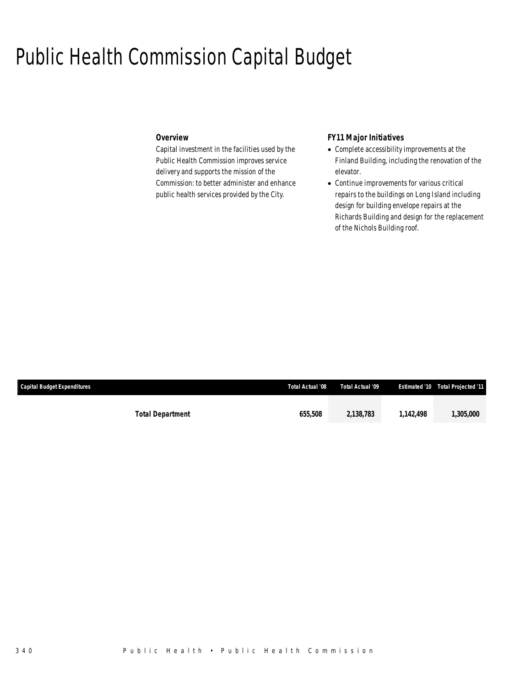# Public Health Commission Capital Budget

# *Overview*

Capital investment in the facilities used by the Public Health Commission improves service delivery and supports the mission of the Commission: to better administer and enhance public health services provided by the City.

# *FY11 Major Initiatives*

- Complete accessibility improvements at the Finland Building, including the renovation of the elevator.
- Continue improvements for various critical repairs to the buildings on Long Island including design for building envelope repairs at the Richards Building and design for the replacement of the Nichols Building roof.

| <b>Capital Budget Expenditures</b> |                         | Total Actual '08 | Total Actual '09 |         | <b>Estimated '10 Total Projected '11</b> |
|------------------------------------|-------------------------|------------------|------------------|---------|------------------------------------------|
|                                    |                         |                  |                  |         |                                          |
|                                    | <b>Total Department</b> | 655,508          | 2,138,783        | 142.498 | 1,305,000                                |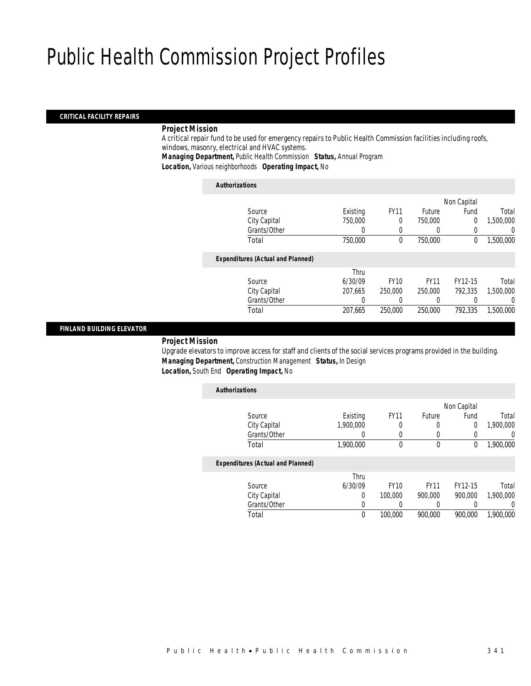# Public Health Commission Project Profiles

# *CRITICAL FACILITY REPAIRS*

# *Project Mission*

A critical repair fund to be used for emergency repairs to Public Health Commission facilities including roofs, windows, masonry, electrical and HVAC systems.

*Managing Department,* Public Health Commission *Status,* Annual Program

*Location,* Various neighborhoods *Operating Impact,* No

#### *Authorizations*

|                                          |          |             |             | Non Capital |           |
|------------------------------------------|----------|-------------|-------------|-------------|-----------|
| Source                                   | Existing | <b>FY11</b> | Future      | Fund        | Total     |
| City Capital                             | 750,000  | 0           | 750,000     | 0           | 1,500,000 |
| Grants/Other                             | 0        | 0           | $\left($    | 0           | 0         |
| Total                                    | 750,000  | 0           | 750,000     | 0           | 1,500,000 |
| <b>Expenditures (Actual and Planned)</b> |          |             |             |             |           |
|                                          | Thru     |             |             |             |           |
| Source                                   | 6/30/09  | <b>FY10</b> | <b>FY11</b> | FY12-15     | Total     |
| City Capital                             | 207,665  | 250,000     | 250,000     | 792.335     | 1,500,000 |
| Grants/Other                             | 0        | 0           | $\left($    |             | 0         |
| Total                                    | 207,665  | 250,000     | 250,000     | 792,335     | 1,500,000 |
|                                          |          |             |             |             |           |

# *FINLAND BUILDING ELEVATOR*

# *Project Mission*

Upgrade elevators to improve access for staff and clients of the social services programs provided in the building. *Managing Department,* Construction Management *Status,* In Design *Location,* South End *Operating Impact,* No

| <b>Authorizations</b>                    |           |             |             |             |           |
|------------------------------------------|-----------|-------------|-------------|-------------|-----------|
|                                          |           |             |             | Non Capital |           |
| Source                                   | Existing  | <b>FY11</b> | Future      | Fund        | Total     |
| City Capital                             | 1,900,000 | 0           | 0           | 0           | 1,900,000 |
| Grants/Other                             |           | 0           | $\left($    |             | 0         |
| Total                                    | 1,900,000 | 0           | $\mathbf 0$ | 0           | 1,900,000 |
| <b>Expenditures (Actual and Planned)</b> |           |             |             |             |           |
|                                          | Thru      |             |             |             |           |
| Source                                   | 6/30/09   | <b>FY10</b> | <b>FY11</b> | FY12-15     | Total     |
| City Capital                             | 0         | 100,000     | 900.000     | 900.000     | 1,900,000 |
| Grants/Other                             | 0         |             |             |             | 0         |
| Total                                    | 0         | 100,000     | 900.000     | 900.000     | 1.900.000 |
|                                          |           |             |             |             |           |